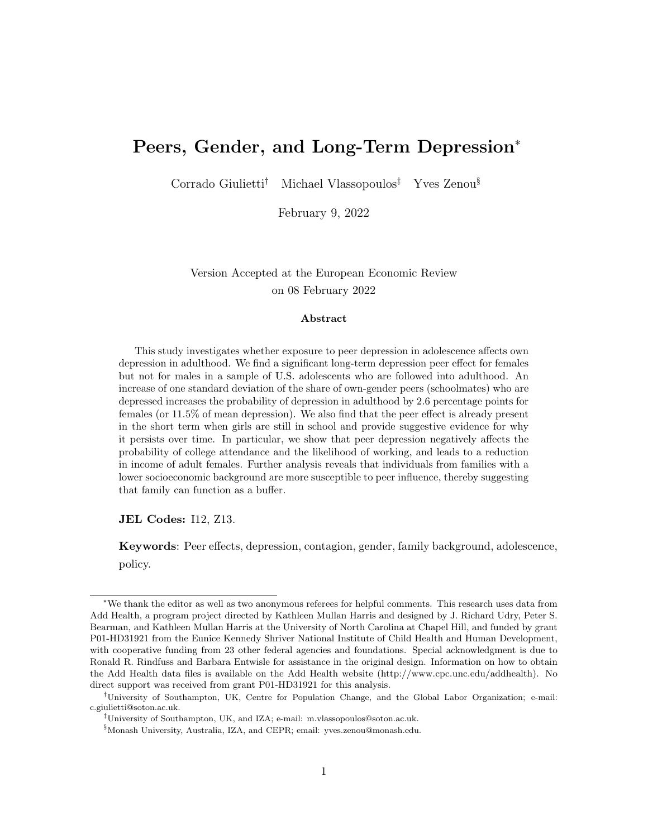## <span id="page-0-0"></span>Peers, Gender, and Long-Term Depression<sup>∗</sup>

Corrado Giulietti† Michael Vlassopoulos‡ Yves Zenou§

February 9, 2022

Version Accepted at the European Economic Review on 08 February 2022

#### Abstract

This study investigates whether exposure to peer depression in adolescence affects own depression in adulthood. We find a significant long-term depression peer effect for females but not for males in a sample of U.S. adolescents who are followed into adulthood. An increase of one standard deviation of the share of own-gender peers (schoolmates) who are depressed increases the probability of depression in adulthood by 2.6 percentage points for females (or 11.5% of mean depression). We also find that the peer effect is already present in the short term when girls are still in school and provide suggestive evidence for why it persists over time. In particular, we show that peer depression negatively affects the probability of college attendance and the likelihood of working, and leads to a reduction in income of adult females. Further analysis reveals that individuals from families with a lower socioeconomic background are more susceptible to peer influence, thereby suggesting that family can function as a buffer.

JEL Codes: I12, Z13.

Keywords: Peer effects, depression, contagion, gender, family background, adolescence, policy.

<sup>∗</sup>We thank the editor as well as two anonymous referees for helpful comments. This research uses data from Add Health, a program project directed by Kathleen Mullan Harris and designed by J. Richard Udry, Peter S. Bearman, and Kathleen Mullan Harris at the University of North Carolina at Chapel Hill, and funded by grant P01-HD31921 from the Eunice Kennedy Shriver National Institute of Child Health and Human Development, with cooperative funding from 23 other federal agencies and foundations. Special acknowledgment is due to Ronald R. Rindfuss and Barbara Entwisle for assistance in the original design. Information on how to obtain the Add Health data files is available on the Add Health website (http://www.cpc.unc.edu/addhealth). No direct support was received from grant P01-HD31921 for this analysis.

<sup>†</sup>University of Southampton, UK, Centre for Population Change, and the Global Labor Organization; e-mail: c.giulietti@soton.ac.uk.

<sup>‡</sup>University of Southampton, UK, and IZA; e-mail: m.vlassopoulos@soton.ac.uk.

<sup>§</sup>Monash University, Australia, IZA, and CEPR; email: yves.zenou@monash.edu.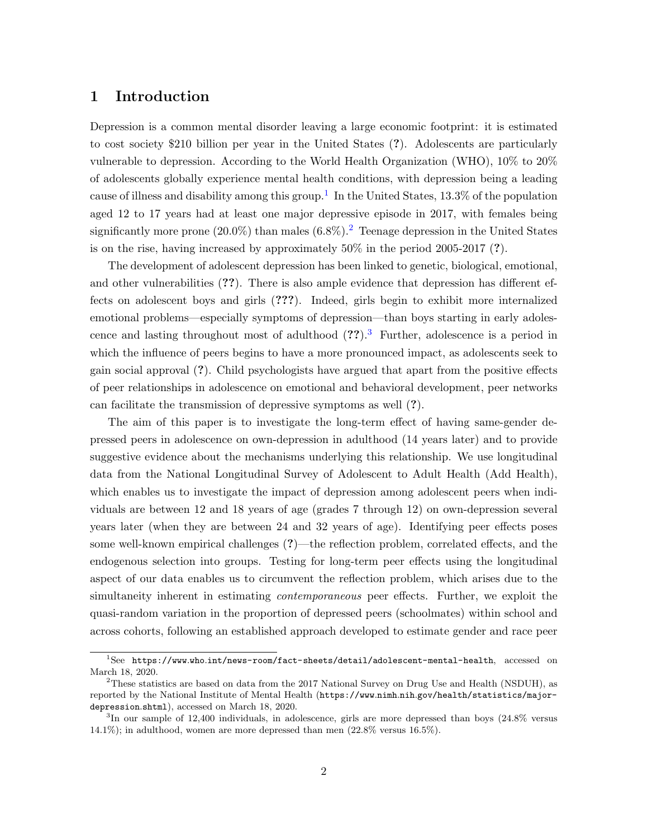## 1 Introduction

Depression is a common mental disorder leaving a large economic footprint: it is estimated to cost society \$210 billion per year in the United States (?). Adolescents are particularly vulnerable to depression. According to the World Health Organization (WHO), 10% to 20% of adolescents globally experience mental health conditions, with depression being a leading cause of illness and disability among this group.<sup>[1](#page-0-0)</sup> In the United States, 13.3% of the population aged 12 to 17 years had at least one major depressive episode in 2017, with females being significantly more prone ([2](#page-0-0)0.0%) than males  $(6.8\%)$ .<sup>2</sup> Teenage depression in the United States is on the rise, having increased by approximately 50% in the period 2005-2017 (?).

The development of adolescent depression has been linked to genetic, biological, emotional, and other vulnerabilities (??). There is also ample evidence that depression has different effects on adolescent boys and girls (???). Indeed, girls begin to exhibit more internalized emotional problems—especially symptoms of depression—than boys starting in early adolescence and lasting throughout most of adulthood  $(??).$ <sup>[3](#page-0-0)</sup> Further, adolescence is a period in which the influence of peers begins to have a more pronounced impact, as adolescents seek to gain social approval (?). Child psychologists have argued that apart from the positive effects of peer relationships in adolescence on emotional and behavioral development, peer networks can facilitate the transmission of depressive symptoms as well (?).

The aim of this paper is to investigate the long-term effect of having same-gender depressed peers in adolescence on own-depression in adulthood (14 years later) and to provide suggestive evidence about the mechanisms underlying this relationship. We use longitudinal data from the National Longitudinal Survey of Adolescent to Adult Health (Add Health), which enables us to investigate the impact of depression among adolescent peers when individuals are between 12 and 18 years of age (grades 7 through 12) on own-depression several years later (when they are between 24 and 32 years of age). Identifying peer effects poses some well-known empirical challenges (?)—the reflection problem, correlated effects, and the endogenous selection into groups. Testing for long-term peer effects using the longitudinal aspect of our data enables us to circumvent the reflection problem, which arises due to the simultaneity inherent in estimating contemporaneous peer effects. Further, we exploit the quasi-random variation in the proportion of depressed peers (schoolmates) within school and across cohorts, following an established approach developed to estimate gender and race peer

 $1$ See https://www.who.[int/news-room/fact-sheets/detail/adolescent-mental-health](https://www.who.int/news-room/fact-sheets/detail/adolescent-mental-health), accessed on March 18, 2020.

<sup>&</sup>lt;sup>2</sup>These statistics are based on data from the 2017 National Survey on Drug Use and Health (NSDUH), as reported by the National Institute of Mental Health (https://www.nimh.nih.[gov/health/statistics/major](https://www.nimh.nih.gov/health/statistics/major-depression.shtml)[depression](https://www.nimh.nih.gov/health/statistics/major-depression.shtml).shtml), accessed on March 18, 2020.

<sup>3</sup> In our sample of 12,400 individuals, in adolescence, girls are more depressed than boys (24.8% versus 14.1%); in adulthood, women are more depressed than men (22.8% versus 16.5%).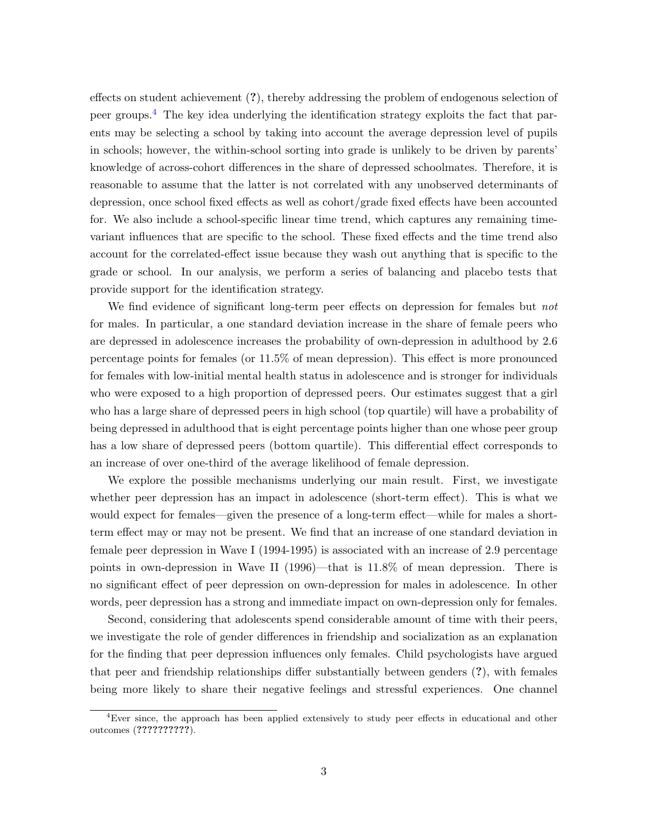effects on student achievement (?), thereby addressing the problem of endogenous selection of peer groups.[4](#page-0-0) The key idea underlying the identification strategy exploits the fact that parents may be selecting a school by taking into account the average depression level of pupils in schools; however, the within-school sorting into grade is unlikely to be driven by parents' knowledge of across-cohort differences in the share of depressed schoolmates. Therefore, it is reasonable to assume that the latter is not correlated with any unobserved determinants of depression, once school fixed effects as well as cohort/grade fixed effects have been accounted for. We also include a school-specific linear time trend, which captures any remaining timevariant influences that are specific to the school. These fixed effects and the time trend also account for the correlated-effect issue because they wash out anything that is specific to the grade or school. In our analysis, we perform a series of balancing and placebo tests that provide support for the identification strategy.

We find evidence of significant long-term peer effects on depression for females but *not* for males. In particular, a one standard deviation increase in the share of female peers who are depressed in adolescence increases the probability of own-depression in adulthood by 2.6 percentage points for females (or 11.5% of mean depression). This effect is more pronounced for females with low-initial mental health status in adolescence and is stronger for individuals who were exposed to a high proportion of depressed peers. Our estimates suggest that a girl who has a large share of depressed peers in high school (top quartile) will have a probability of being depressed in adulthood that is eight percentage points higher than one whose peer group has a low share of depressed peers (bottom quartile). This differential effect corresponds to an increase of over one-third of the average likelihood of female depression.

We explore the possible mechanisms underlying our main result. First, we investigate whether peer depression has an impact in adolescence (short-term effect). This is what we would expect for females—given the presence of a long-term effect—while for males a shortterm effect may or may not be present. We find that an increase of one standard deviation in female peer depression in Wave I (1994-1995) is associated with an increase of 2.9 percentage points in own-depression in Wave II (1996)—that is 11.8% of mean depression. There is no significant effect of peer depression on own-depression for males in adolescence. In other words, peer depression has a strong and immediate impact on own-depression only for females.

Second, considering that adolescents spend considerable amount of time with their peers, we investigate the role of gender differences in friendship and socialization as an explanation for the finding that peer depression influences only females. Child psychologists have argued that peer and friendship relationships differ substantially between genders (?), with females being more likely to share their negative feelings and stressful experiences. One channel

<sup>4</sup>Ever since, the approach has been applied extensively to study peer effects in educational and other outcomes (??????????).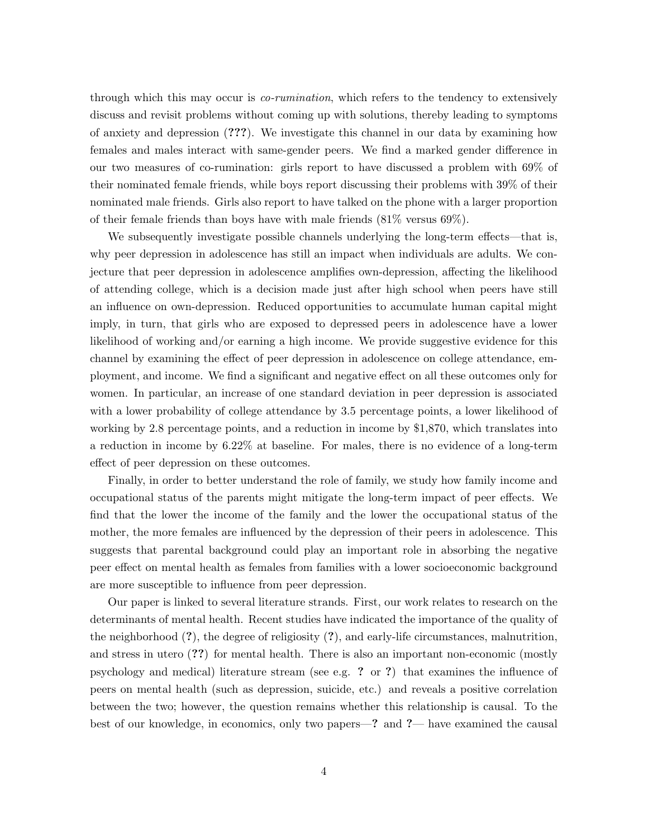through which this may occur is *co-rumination*, which refers to the tendency to extensively discuss and revisit problems without coming up with solutions, thereby leading to symptoms of anxiety and depression (???). We investigate this channel in our data by examining how females and males interact with same-gender peers. We find a marked gender difference in our two measures of co-rumination: girls report to have discussed a problem with 69% of their nominated female friends, while boys report discussing their problems with 39% of their nominated male friends. Girls also report to have talked on the phone with a larger proportion of their female friends than boys have with male friends  $(81\% \text{ versus } 69\%).$ 

We subsequently investigate possible channels underlying the long-term effects—that is, why peer depression in adolescence has still an impact when individuals are adults. We conjecture that peer depression in adolescence amplifies own-depression, affecting the likelihood of attending college, which is a decision made just after high school when peers have still an influence on own-depression. Reduced opportunities to accumulate human capital might imply, in turn, that girls who are exposed to depressed peers in adolescence have a lower likelihood of working and/or earning a high income. We provide suggestive evidence for this channel by examining the effect of peer depression in adolescence on college attendance, employment, and income. We find a significant and negative effect on all these outcomes only for women. In particular, an increase of one standard deviation in peer depression is associated with a lower probability of college attendance by 3.5 percentage points, a lower likelihood of working by 2.8 percentage points, and a reduction in income by \$1,870, which translates into a reduction in income by 6.22% at baseline. For males, there is no evidence of a long-term effect of peer depression on these outcomes.

Finally, in order to better understand the role of family, we study how family income and occupational status of the parents might mitigate the long-term impact of peer effects. We find that the lower the income of the family and the lower the occupational status of the mother, the more females are influenced by the depression of their peers in adolescence. This suggests that parental background could play an important role in absorbing the negative peer effect on mental health as females from families with a lower socioeconomic background are more susceptible to influence from peer depression.

Our paper is linked to several literature strands. First, our work relates to research on the determinants of mental health. Recent studies have indicated the importance of the quality of the neighborhood (?), the degree of religiosity (?), and early-life circumstances, malnutrition, and stress in utero (??) for mental health. There is also an important non-economic (mostly psychology and medical) literature stream (see e.g. ? or ?) that examines the influence of peers on mental health (such as depression, suicide, etc.) and reveals a positive correlation between the two; however, the question remains whether this relationship is causal. To the best of our knowledge, in economics, only two papers—? and ?— have examined the causal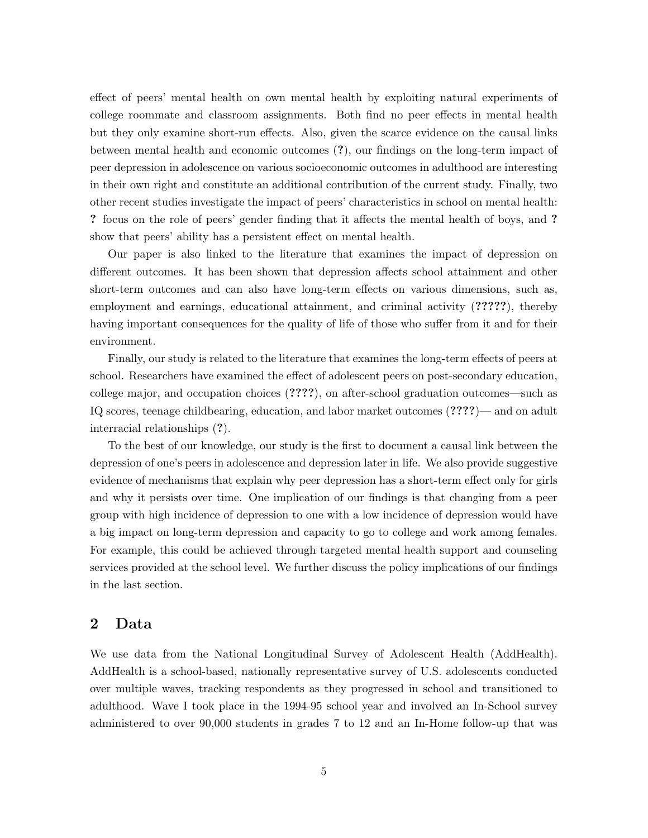effect of peers' mental health on own mental health by exploiting natural experiments of college roommate and classroom assignments. Both find no peer effects in mental health but they only examine short-run effects. Also, given the scarce evidence on the causal links between mental health and economic outcomes (?), our findings on the long-term impact of peer depression in adolescence on various socioeconomic outcomes in adulthood are interesting in their own right and constitute an additional contribution of the current study. Finally, two other recent studies investigate the impact of peers' characteristics in school on mental health: ? focus on the role of peers' gender finding that it affects the mental health of boys, and ? show that peers' ability has a persistent effect on mental health.

Our paper is also linked to the literature that examines the impact of depression on different outcomes. It has been shown that depression affects school attainment and other short-term outcomes and can also have long-term effects on various dimensions, such as, employment and earnings, educational attainment, and criminal activity (?????), thereby having important consequences for the quality of life of those who suffer from it and for their environment.

Finally, our study is related to the literature that examines the long-term effects of peers at school. Researchers have examined the effect of adolescent peers on post-secondary education, college major, and occupation choices (????), on after-school graduation outcomes—such as IQ scores, teenage childbearing, education, and labor market outcomes (????)— and on adult interracial relationships (?).

To the best of our knowledge, our study is the first to document a causal link between the depression of one's peers in adolescence and depression later in life. We also provide suggestive evidence of mechanisms that explain why peer depression has a short-term effect only for girls and why it persists over time. One implication of our findings is that changing from a peer group with high incidence of depression to one with a low incidence of depression would have a big impact on long-term depression and capacity to go to college and work among females. For example, this could be achieved through targeted mental health support and counseling services provided at the school level. We further discuss the policy implications of our findings in the last section.

## 2 Data

We use data from the National Longitudinal Survey of Adolescent Health (AddHealth). AddHealth is a school-based, nationally representative survey of U.S. adolescents conducted over multiple waves, tracking respondents as they progressed in school and transitioned to adulthood. Wave I took place in the 1994-95 school year and involved an In-School survey administered to over 90,000 students in grades 7 to 12 and an In-Home follow-up that was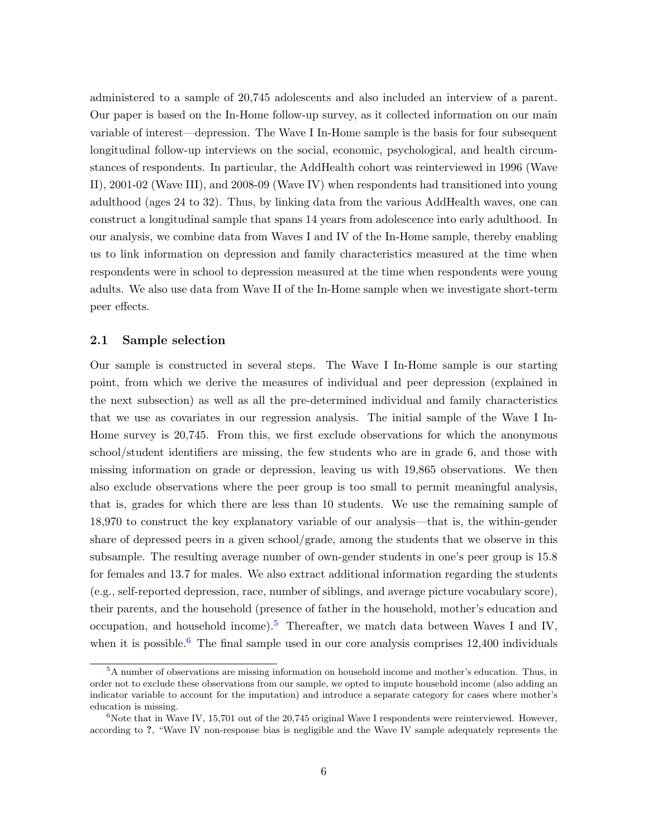administered to a sample of 20,745 adolescents and also included an interview of a parent. Our paper is based on the In-Home follow-up survey, as it collected information on our main variable of interest—depression. The Wave I In-Home sample is the basis for four subsequent longitudinal follow-up interviews on the social, economic, psychological, and health circumstances of respondents. In particular, the AddHealth cohort was reinterviewed in 1996 (Wave II), 2001-02 (Wave III), and 2008-09 (Wave IV) when respondents had transitioned into young adulthood (ages 24 to 32). Thus, by linking data from the various AddHealth waves, one can construct a longitudinal sample that spans 14 years from adolescence into early adulthood. In our analysis, we combine data from Waves I and IV of the In-Home sample, thereby enabling us to link information on depression and family characteristics measured at the time when respondents were in school to depression measured at the time when respondents were young adults. We also use data from Wave II of the In-Home sample when we investigate short-term peer effects.

#### 2.1 Sample selection

Our sample is constructed in several steps. The Wave I In-Home sample is our starting point, from which we derive the measures of individual and peer depression (explained in the next subsection) as well as all the pre-determined individual and family characteristics that we use as covariates in our regression analysis. The initial sample of the Wave I In-Home survey is 20,745. From this, we first exclude observations for which the anonymous school/student identifiers are missing, the few students who are in grade 6, and those with missing information on grade or depression, leaving us with 19,865 observations. We then also exclude observations where the peer group is too small to permit meaningful analysis, that is, grades for which there are less than 10 students. We use the remaining sample of 18,970 to construct the key explanatory variable of our analysis—that is, the within-gender share of depressed peers in a given school/grade, among the students that we observe in this subsample. The resulting average number of own-gender students in one's peer group is 15.8 for females and 13.7 for males. We also extract additional information regarding the students (e.g., self-reported depression, race, number of siblings, and average picture vocabulary score), their parents, and the household (presence of father in the household, mother's education and occupation, and household income).<sup>[5](#page-0-0)</sup> Thereafter, we match data between Waves I and IV, when it is possible.<sup>[6](#page-0-0)</sup> The final sample used in our core analysis comprises  $12,400$  individuals

<sup>&</sup>lt;sup>5</sup>A number of observations are missing information on household income and mother's education. Thus, in order not to exclude these observations from our sample, we opted to impute household income (also adding an indicator variable to account for the imputation) and introduce a separate category for cases where mother's education is missing.

<sup>&</sup>lt;sup>6</sup>Note that in Wave IV, 15,701 out of the 20,745 original Wave I respondents were reinterviewed. However, according to ?, "Wave IV non-response bias is negligible and the Wave IV sample adequately represents the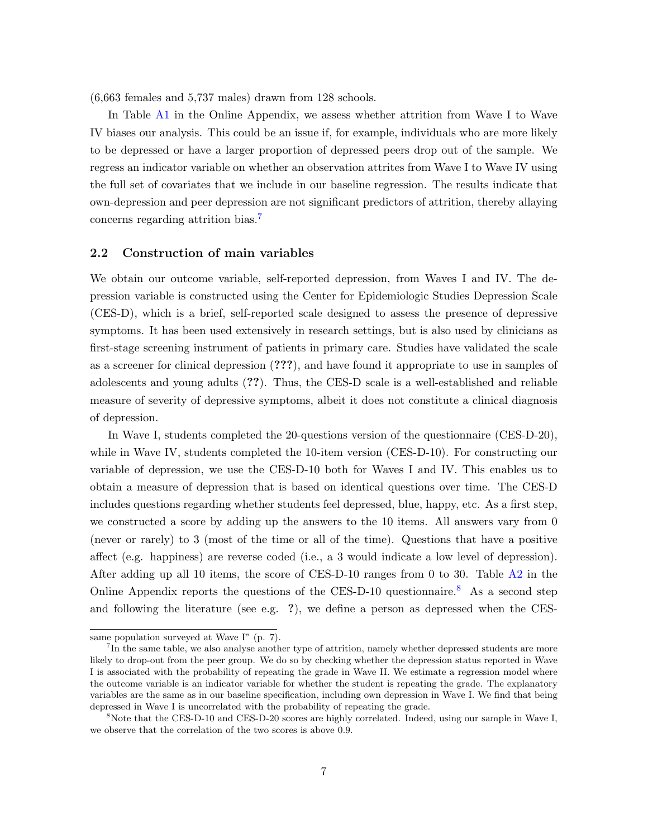(6,663 females and 5,737 males) drawn from 128 schools.

In Table [A1](#page-29-0) in the Online Appendix, we assess whether attrition from Wave I to Wave IV biases our analysis. This could be an issue if, for example, individuals who are more likely to be depressed or have a larger proportion of depressed peers drop out of the sample. We regress an indicator variable on whether an observation attrites from Wave I to Wave IV using the full set of covariates that we include in our baseline regression. The results indicate that own-depression and peer depression are not significant predictors of attrition, thereby allaying concerns regarding attrition bias.<sup>[7](#page-0-0)</sup>

#### 2.2 Construction of main variables

We obtain our outcome variable, self-reported depression, from Waves I and IV. The depression variable is constructed using the Center for Epidemiologic Studies Depression Scale (CES-D), which is a brief, self-reported scale designed to assess the presence of depressive symptoms. It has been used extensively in research settings, but is also used by clinicians as first-stage screening instrument of patients in primary care. Studies have validated the scale as a screener for clinical depression (???), and have found it appropriate to use in samples of adolescents and young adults (??). Thus, the CES-D scale is a well-established and reliable measure of severity of depressive symptoms, albeit it does not constitute a clinical diagnosis of depression.

In Wave I, students completed the 20-questions version of the questionnaire (CES-D-20), while in Wave IV, students completed the 10-item version (CES-D-10). For constructing our variable of depression, we use the CES-D-10 both for Waves I and IV. This enables us to obtain a measure of depression that is based on identical questions over time. The CES-D includes questions regarding whether students feel depressed, blue, happy, etc. As a first step, we constructed a score by adding up the answers to the 10 items. All answers vary from 0 (never or rarely) to 3 (most of the time or all of the time). Questions that have a positive affect (e.g. happiness) are reverse coded (i.e., a 3 would indicate a low level of depression). After adding up all 10 items, the score of CES-D-10 ranges from 0 to 30. Table [A2](#page-30-0) in the Online Appendix reports the questions of the CES-D-10 questionnaire.<sup>[8](#page-0-0)</sup> As a second step and following the literature (see e.g. ?), we define a person as depressed when the CES-

same population surveyed at Wave I" (p. 7).

<sup>&</sup>lt;sup>7</sup>In the same table, we also analyse another type of attrition, namely whether depressed students are more likely to drop-out from the peer group. We do so by checking whether the depression status reported in Wave I is associated with the probability of repeating the grade in Wave II. We estimate a regression model where the outcome variable is an indicator variable for whether the student is repeating the grade. The explanatory variables are the same as in our baseline specification, including own depression in Wave I. We find that being depressed in Wave I is uncorrelated with the probability of repeating the grade.

<sup>8</sup>Note that the CES-D-10 and CES-D-20 scores are highly correlated. Indeed, using our sample in Wave I, we observe that the correlation of the two scores is above 0.9.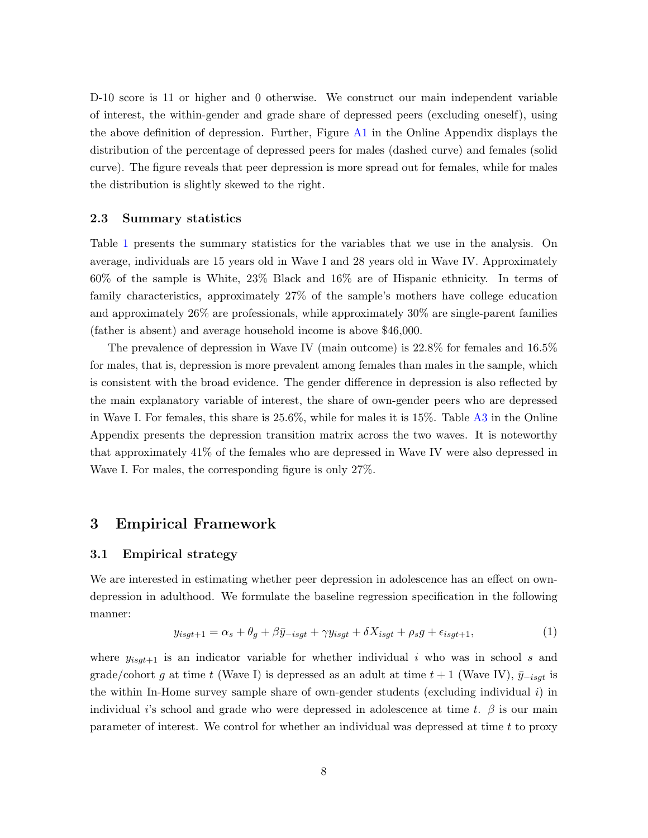D-10 score is 11 or higher and 0 otherwise. We construct our main independent variable of interest, the within-gender and grade share of depressed peers (excluding oneself), using the above definition of depression. Further, Figure [A1](#page-27-0) in the Online Appendix displays the distribution of the percentage of depressed peers for males (dashed curve) and females (solid curve). The figure reveals that peer depression is more spread out for females, while for males the distribution is slightly skewed to the right.

#### 2.3 Summary statistics

Table [1](#page-8-0) presents the summary statistics for the variables that we use in the analysis. On average, individuals are 15 years old in Wave I and 28 years old in Wave IV. Approximately 60% of the sample is White, 23% Black and 16% are of Hispanic ethnicity. In terms of family characteristics, approximately 27% of the sample's mothers have college education and approximately 26% are professionals, while approximately 30% are single-parent families (father is absent) and average household income is above \$46,000.

The prevalence of depression in Wave IV (main outcome) is 22.8% for females and 16.5% for males, that is, depression is more prevalent among females than males in the sample, which is consistent with the broad evidence. The gender difference in depression is also reflected by the main explanatory variable of interest, the share of own-gender peers who are depressed in Wave I. For females, this share is 25.6%, while for males it is 15%. Table [A3](#page-30-1) in the Online Appendix presents the depression transition matrix across the two waves. It is noteworthy that approximately 41% of the females who are depressed in Wave IV were also depressed in Wave I. For males, the corresponding figure is only 27%.

## 3 Empirical Framework

#### 3.1 Empirical strategy

We are interested in estimating whether peer depression in adolescence has an effect on owndepression in adulthood. We formulate the baseline regression specification in the following manner:

<span id="page-7-0"></span>
$$
y_{isgt+1} = \alpha_s + \theta_g + \beta \bar{y}_{-isgt} + \gamma y_{isgt} + \delta X_{isgt} + \rho_s g + \epsilon_{isgt+1},\tag{1}
$$

where  $y_{isqt+1}$  is an indicator variable for whether individual i who was in school s and grade/cohort g at time t (Wave I) is depressed as an adult at time  $t + 1$  (Wave IV),  $\bar{y}_{-isqt}$  is the within In-Home survey sample share of own-gender students (excluding individual i) in individual i's school and grade who were depressed in adolescence at time t.  $\beta$  is our main parameter of interest. We control for whether an individual was depressed at time t to proxy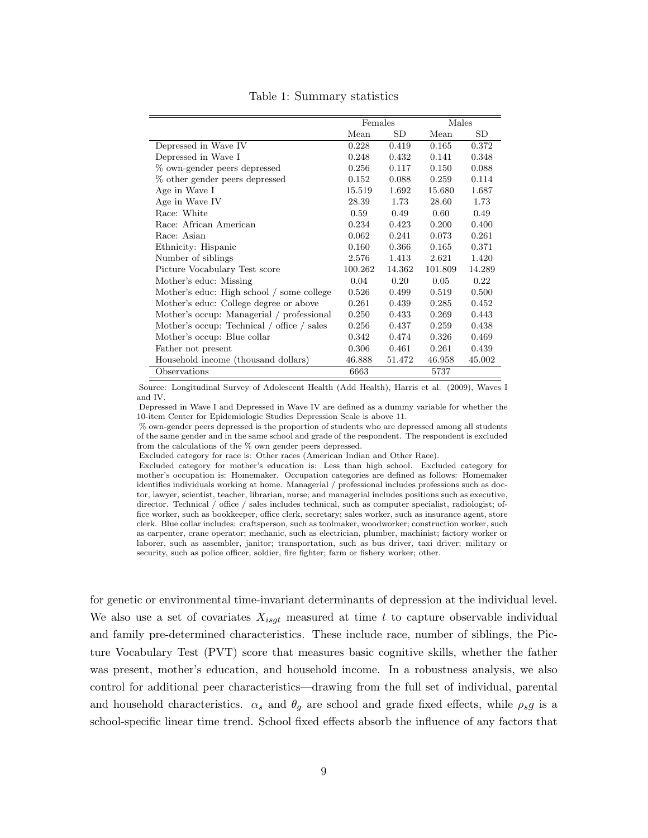<span id="page-8-0"></span>

|                                            | Females |        | Males   |        |
|--------------------------------------------|---------|--------|---------|--------|
|                                            | Mean    | SD     | Mean    | SD     |
| Depressed in Wave IV                       | 0.228   | 0.419  | 0.165   | 0.372  |
| Depressed in Wave I                        | 0.248   | 0.432  | 0.141   | 0.348  |
| % own-gender peers depressed               | 0.256   | 0.117  | 0.150   | 0.088  |
| % other gender peers depressed             | 0.152   | 0.088  | 0.259   | 0.114  |
| Age in Wave I                              | 15.519  | 1.692  | 15.680  | 1.687  |
| Age in Wave IV                             | 28.39   | 1.73   | 28.60   | 1.73   |
| Race: White                                | 0.59    | 0.49   | 0.60    | 0.49   |
| Race: African American                     | 0.234   | 0.423  | 0.200   | 0.400  |
| Race: Asian                                | 0.062   | 0.241  | 0.073   | 0.261  |
| Ethnicity: Hispanic                        | 0.160   | 0.366  | 0.165   | 0.371  |
| Number of siblings                         | 2.576   | 1.413  | 2.621   | 1.420  |
| Picture Vocabulary Test score              | 100.262 | 14.362 | 101.809 | 14.289 |
| Mother's educ: Missing                     | 0.04    | 0.20   | 0.05    | 0.22   |
| Mother's educ: High school / some college  | 0.526   | 0.499  | 0.519   | 0.500  |
| Mother's educ: College degree or above     | 0.261   | 0.439  | 0.285   | 0.452  |
| Mother's occup: Managerial / professional  | 0.250   | 0.433  | 0.269   | 0.443  |
| Mother's occup: Technical / office / sales | 0.256   | 0.437  | 0.259   | 0.438  |
| Mother's occup: Blue collar                | 0.342   | 0.474  | 0.326   | 0.469  |
| Father not present                         | 0.306   | 0.461  | 0.261   | 0.439  |
| Household income (thousand dollars)        | 46.888  | 51.472 | 46.958  | 45.002 |
| Observations                               | 6663    |        | 5737    |        |

#### Table 1: Summary statistics

Source: Longitudinal Survey of Adolescent Health (Add Health), Harris et al. (2009), Waves I and IV.

Depressed in Wave I and Depressed in Wave IV are defined as a dummy variable for whether the 10-item Center for Epidemiologic Studies Depression Scale is above 11.

% own-gender peers depressed is the proportion of students who are depressed among all students of the same gender and in the same school and grade of the respondent. The respondent is excluded from the calculations of the % own gender peers depressed.

Excluded category for race is: Other races (American Indian and Other Race).

Excluded category for mother's education is: Less than high school. Excluded category for mother's occupation is: Homemaker. Occupation categories are defined as follows: Homemaker identifies individuals working at home. Managerial / professional includes professions such as doctor, lawyer, scientist, teacher, librarian, nurse; and managerial includes positions such as executive, director. Technical / office / sales includes technical, such as computer specialist, radiologist; office worker, such as bookkeeper, office clerk, secretary; sales worker, such as insurance agent, store clerk. Blue collar includes: craftsperson, such as toolmaker, woodworker; construction worker, such as carpenter, crane operator; mechanic, such as electrician, plumber, machinist; factory worker or laborer, such as assembler, janitor; transportation, such as bus driver, taxi driver; military or security, such as police officer, soldier, fire fighter; farm or fishery worker; other.

for genetic or environmental time-invariant determinants of depression at the individual level. We also use a set of covariates  $X_{isgt}$  measured at time t to capture observable individual and family pre-determined characteristics. These include race, number of siblings, the Picture Vocabulary Test (PVT) score that measures basic cognitive skills, whether the father was present, mother's education, and household income. In a robustness analysis, we also control for additional peer characteristics—drawing from the full set of individual, parental and household characteristics.  $\alpha_s$  and  $\theta_q$  are school and grade fixed effects, while  $\rho_s g$  is a school-specific linear time trend. School fixed effects absorb the influence of any factors that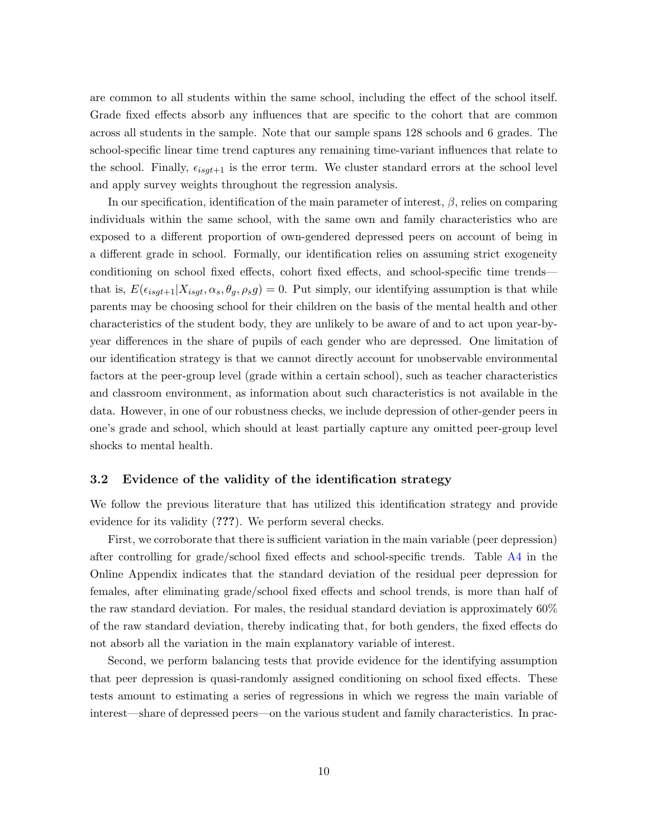are common to all students within the same school, including the effect of the school itself. Grade fixed effects absorb any influences that are specific to the cohort that are common across all students in the sample. Note that our sample spans 128 schools and 6 grades. The school-specific linear time trend captures any remaining time-variant influences that relate to the school. Finally,  $\epsilon_{isgt+1}$  is the error term. We cluster standard errors at the school level and apply survey weights throughout the regression analysis.

In our specification, identification of the main parameter of interest,  $\beta$ , relies on comparing individuals within the same school, with the same own and family characteristics who are exposed to a different proportion of own-gendered depressed peers on account of being in a different grade in school. Formally, our identification relies on assuming strict exogeneity conditioning on school fixed effects, cohort fixed effects, and school-specific time trends that is,  $E(\epsilon_{isgt+1}|X_{isgt}, \alpha_s, \theta_g, \rho_s g) = 0$ . Put simply, our identifying assumption is that while parents may be choosing school for their children on the basis of the mental health and other characteristics of the student body, they are unlikely to be aware of and to act upon year-byyear differences in the share of pupils of each gender who are depressed. One limitation of our identification strategy is that we cannot directly account for unobservable environmental factors at the peer-group level (grade within a certain school), such as teacher characteristics and classroom environment, as information about such characteristics is not available in the data. However, in one of our robustness checks, we include depression of other-gender peers in one's grade and school, which should at least partially capture any omitted peer-group level shocks to mental health.

#### 3.2 Evidence of the validity of the identification strategy

We follow the previous literature that has utilized this identification strategy and provide evidence for its validity (???). We perform several checks.

First, we corroborate that there is sufficient variation in the main variable (peer depression) after controlling for grade/school fixed effects and school-specific trends. Table [A4](#page-31-0) in the Online Appendix indicates that the standard deviation of the residual peer depression for females, after eliminating grade/school fixed effects and school trends, is more than half of the raw standard deviation. For males, the residual standard deviation is approximately 60% of the raw standard deviation, thereby indicating that, for both genders, the fixed effects do not absorb all the variation in the main explanatory variable of interest.

Second, we perform balancing tests that provide evidence for the identifying assumption that peer depression is quasi-randomly assigned conditioning on school fixed effects. These tests amount to estimating a series of regressions in which we regress the main variable of interest—share of depressed peers—on the various student and family characteristics. In prac-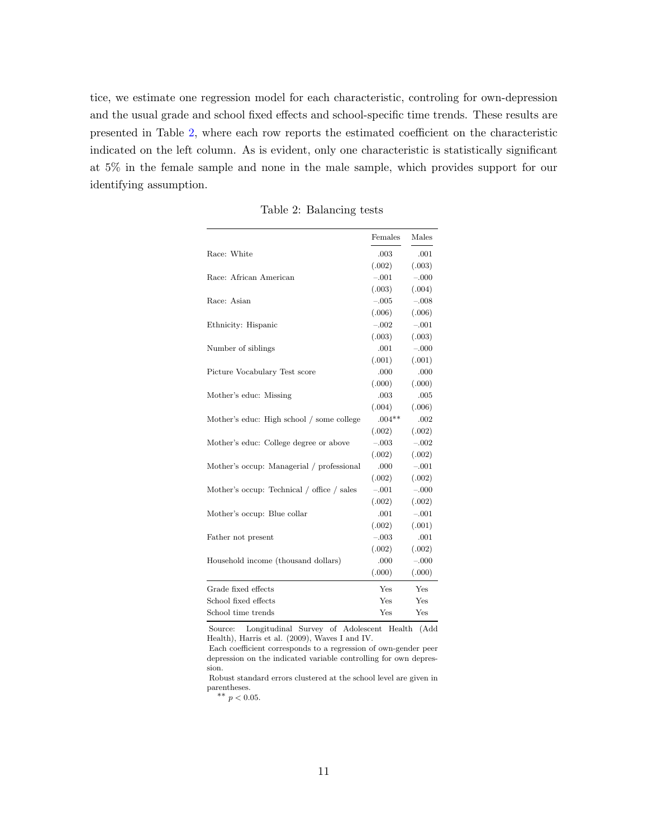tice, we estimate one regression model for each characteristic, controling for own-depression and the usual grade and school fixed effects and school-specific time trends. These results are presented in Table [2,](#page-10-0) where each row reports the estimated coefficient on the characteristic indicated on the left column. As is evident, only one characteristic is statistically significant at 5% in the female sample and none in the male sample, which provides support for our identifying assumption.

<span id="page-10-0"></span>

|                                            | Females  | Males   |
|--------------------------------------------|----------|---------|
| Race: White                                | .003     | .001    |
|                                            | (.002)   | (.003)  |
| Race: African American                     | $-.001$  | $-.000$ |
|                                            | (.003)   | (.004)  |
| Race: Asian                                | $-.005$  | $-.008$ |
|                                            | (.006)   | (.006)  |
| Ethnicity: Hispanic                        | $-.002$  | $-.001$ |
|                                            | (.003)   | (.003)  |
| Number of siblings                         | .001     | $-.000$ |
|                                            | (.001)   | (.001)  |
| Picture Vocabulary Test score              | .000     | .000    |
|                                            | (.000)   | (.000)  |
| Mother's educ: Missing                     | .003     | .005    |
|                                            | (.004)   | (.006)  |
| Mother's educ: High school / some college  | $.004**$ | .002    |
|                                            | (.002)   | (.002)  |
| Mother's educ: College degree or above     | $-.003$  | $-.002$ |
|                                            | (.002)   | (.002)  |
| Mother's occup: Managerial / professional  | .000     | $-.001$ |
|                                            | (.002)   | (.002)  |
| Mother's occup: Technical / office / sales | $-.001$  | $-.000$ |
|                                            | (.002)   | (.002)  |
| Mother's occup: Blue collar                | .001     | $-.001$ |
|                                            | (.002)   | (.001)  |
| Father not present                         | $-.003$  | .001    |
|                                            | (.002)   | (.002)  |
| Household income (thousand dollars)        | .000     | $-.000$ |
|                                            | (.000)   | (.000)  |
| Grade fixed effects                        | Yes      | Yes     |
| School fixed effects                       | Yes      | Yes     |
| School time trends                         | Yes      | Yes     |

Table 2: Balancing tests

Source: Longitudinal Survey of Adolescent Health (Add Health), Harris et al. (2009), Waves I and IV.

Each coefficient corresponds to a regression of own-gender peer depression on the indicated variable controlling for own depression.

Robust standard errors clustered at the school level are given in parentheses.

∗∗ p < <sup>0</sup>.05.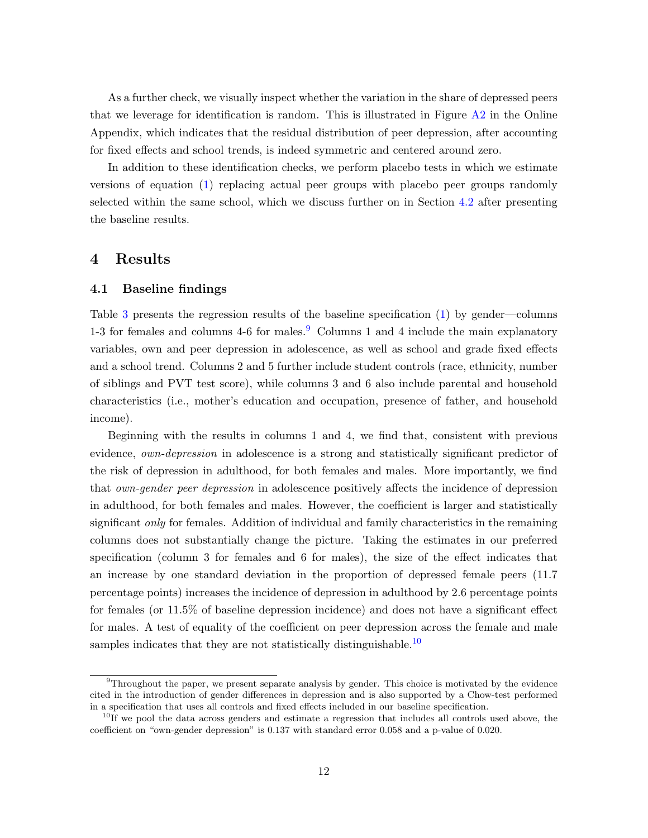As a further check, we visually inspect whether the variation in the share of depressed peers that we leverage for identification is random. This is illustrated in Figure  $A2$  in the Online Appendix, which indicates that the residual distribution of peer depression, after accounting for fixed effects and school trends, is indeed symmetric and centered around zero.

In addition to these identification checks, we perform placebo tests in which we estimate versions of equation [\(1\)](#page-7-0) replacing actual peer groups with placebo peer groups randomly selected within the same school, which we discuss further on in Section [4.2](#page-15-0) after presenting the baseline results.

## 4 Results

#### 4.1 Baseline findings

Table [3](#page-12-0) presents the regression results of the baseline specification [\(1\)](#page-7-0) by gender—columns 1-3 for females and columns 4-6 for males.<sup>[9](#page-0-0)</sup> Columns 1 and 4 include the main explanatory variables, own and peer depression in adolescence, as well as school and grade fixed effects and a school trend. Columns 2 and 5 further include student controls (race, ethnicity, number of siblings and PVT test score), while columns 3 and 6 also include parental and household characteristics (i.e., mother's education and occupation, presence of father, and household income).

Beginning with the results in columns 1 and 4, we find that, consistent with previous evidence, *own-depression* in adolescence is a strong and statistically significant predictor of the risk of depression in adulthood, for both females and males. More importantly, we find that *own-gender peer depression* in adolescence positively affects the incidence of depression in adulthood, for both females and males. However, the coefficient is larger and statistically significant *only* for females. Addition of individual and family characteristics in the remaining columns does not substantially change the picture. Taking the estimates in our preferred specification (column 3 for females and 6 for males), the size of the effect indicates that an increase by one standard deviation in the proportion of depressed female peers (11.7 percentage points) increases the incidence of depression in adulthood by 2.6 percentage points for females (or 11.5% of baseline depression incidence) and does not have a significant effect for males. A test of equality of the coefficient on peer depression across the female and male samples indicates that they are not statistically distinguishable.<sup>[10](#page-0-0)</sup>

 $9$ Throughout the paper, we present separate analysis by gender. This choice is motivated by the evidence cited in the introduction of gender differences in depression and is also supported by a Chow-test performed in a specification that uses all controls and fixed effects included in our baseline specification.

 $10$ If we pool the data across genders and estimate a regression that includes all controls used above, the coefficient on "own-gender depression" is 0.137 with standard error 0.058 and a p-value of 0.020.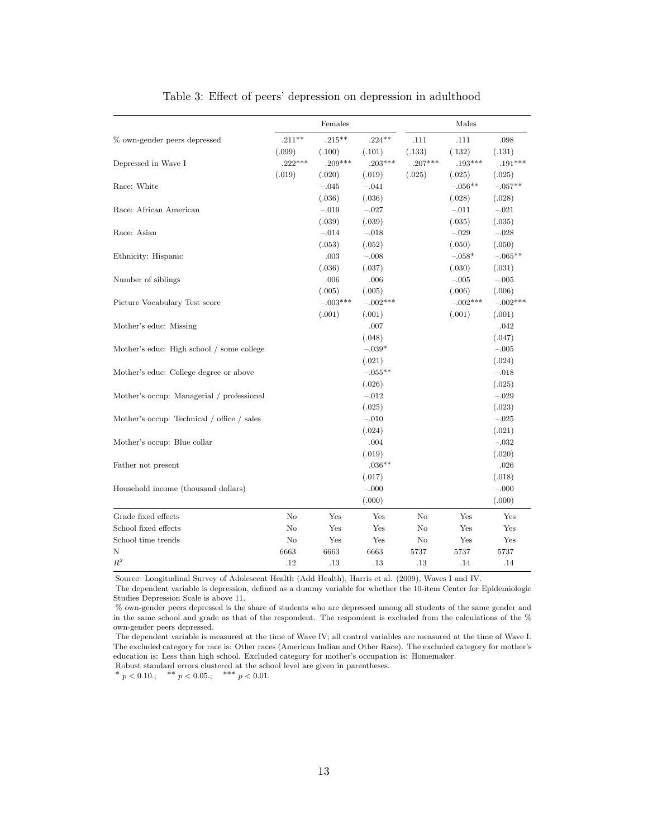<span id="page-12-0"></span>

|                                            |           | Females    |            |           | Males      |            |
|--------------------------------------------|-----------|------------|------------|-----------|------------|------------|
| % own-gender peers depressed               | $.211**$  | $.215***$  | $.224**$   | .111      | .111       | .098       |
|                                            | (.099)    | (.100)     | (.101)     | (.133)    | (.132)     | (.131)     |
| Depressed in Wave I                        | $.222***$ | $.209***$  | $.203***$  | $.207***$ | $.193***$  | $.191***$  |
|                                            | (.019)    | (.020)     | (.019)     | (.025)    | (.025)     | (.025)     |
| Race: White                                |           | $-.045$    | $-.041$    |           | $-.056**$  | $-.057**$  |
|                                            |           | (.036)     | (.036)     |           | (.028)     | (.028)     |
| Race: African American                     |           | $-.019$    | $-.027$    |           | $-.011$    | $-.021$    |
|                                            |           | (.039)     | (.039)     |           | (.035)     | (.035)     |
| Race: Asian                                |           | $-.014$    | $-.018$    |           | $-.029$    | $-.028$    |
|                                            |           | (.053)     | (.052)     |           | (.050)     | (.050)     |
| Ethnicity: Hispanic                        |           | .003       | $-.008$    |           | $-.058*$   | $-.065**$  |
|                                            |           | (.036)     | (.037)     |           | (.030)     | (.031)     |
| Number of siblings                         |           | .006       | .006       |           | $-.005$    | $-.005$    |
|                                            |           | (.005)     | (.005)     |           | (.006)     | (.006)     |
| Picture Vocabulary Test score              |           | $-.003***$ | $-.002***$ |           | $-.002***$ | $-.002***$ |
|                                            |           | (.001)     | (.001)     |           | (.001)     | (.001)     |
| Mother's educ: Missing                     |           |            | .007       |           |            | .042       |
|                                            |           |            | (.048)     |           |            | (.047)     |
| Mother's educ: High school / some college  |           |            | $-.039*$   |           |            | $-.005$    |
|                                            |           |            | (.021)     |           |            | (.024)     |
| Mother's educ: College degree or above     |           |            | $-.055**$  |           |            | $-.018$    |
|                                            |           |            | (.026)     |           |            | (.025)     |
| Mother's occup: Managerial / professional  |           |            | $-.012$    |           |            | $-.029$    |
|                                            |           |            | (.025)     |           |            | (.023)     |
| Mother's occup: Technical / office / sales |           |            | $-.010$    |           |            | $-.025$    |
|                                            |           |            | (.024)     |           |            | (.021)     |
| Mother's occup: Blue collar                |           |            | .004       |           |            | $-.032$    |
|                                            |           |            | (.019)     |           |            | (.020)     |
| Father not present                         |           |            | $.036**$   |           |            | .026       |
|                                            |           |            | (.017)     |           |            | (.018)     |
| Household income (thousand dollars)        |           |            | $-.000$    |           |            | $-.000$    |
|                                            |           |            | (.000)     |           |            | (.000)     |
| Grade fixed effects                        | No        | Yes        | Yes        | No        | Yes        | Yes        |
| School fixed effects                       | No        | Yes        | Yes        | No        | Yes        | Yes        |
| School time trends                         | No        | Yes        | Yes        | No        | Yes        | Yes        |
| Ν                                          | 6663      | 6663       | 6663       | 5737      | 5737       | 5737       |
| $R^2$                                      | .12       | .13        | .13        | .13       | .14        | .14        |

Table 3: Effect of peers' depression on depression in adulthood

Source: Longitudinal Survey of Adolescent Health (Add Health), Harris et al. (2009), Waves I and IV.

The dependent variable is depression, defined as a dummy variable for whether the 10-item Center for Epidemiologic Studies Depression Scale is above 11.

% own-gender peers depressed is the share of students who are depressed among all students of the same gender and in the same school and grade as that of the respondent. The respondent is excluded from the calculations of the % own-gender peers depressed.

The dependent variable is measured at the time of Wave IV; all control variables are measured at the time of Wave I. The excluded category for race is: Other races (American Indian and Other Race). The excluded category for mother's education is: Less than high school. Excluded category for mother's occupation is: Homemaker.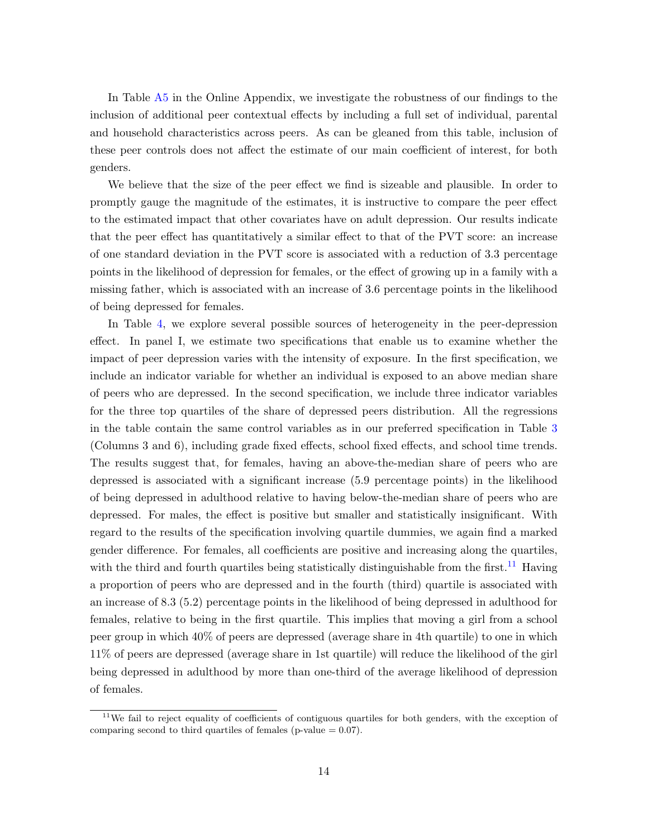In Table [A5](#page-32-0) in the Online Appendix, we investigate the robustness of our findings to the inclusion of additional peer contextual effects by including a full set of individual, parental and household characteristics across peers. As can be gleaned from this table, inclusion of these peer controls does not affect the estimate of our main coefficient of interest, for both genders.

We believe that the size of the peer effect we find is sizeable and plausible. In order to promptly gauge the magnitude of the estimates, it is instructive to compare the peer effect to the estimated impact that other covariates have on adult depression. Our results indicate that the peer effect has quantitatively a similar effect to that of the PVT score: an increase of one standard deviation in the PVT score is associated with a reduction of 3.3 percentage points in the likelihood of depression for females, or the effect of growing up in a family with a missing father, which is associated with an increase of 3.6 percentage points in the likelihood of being depressed for females.

In Table [4,](#page-14-0) we explore several possible sources of heterogeneity in the peer-depression effect. In panel I, we estimate two specifications that enable us to examine whether the impact of peer depression varies with the intensity of exposure. In the first specification, we include an indicator variable for whether an individual is exposed to an above median share of peers who are depressed. In the second specification, we include three indicator variables for the three top quartiles of the share of depressed peers distribution. All the regressions in the table contain the same control variables as in our preferred specification in Table [3](#page-12-0) (Columns 3 and 6), including grade fixed effects, school fixed effects, and school time trends. The results suggest that, for females, having an above-the-median share of peers who are depressed is associated with a significant increase (5.9 percentage points) in the likelihood of being depressed in adulthood relative to having below-the-median share of peers who are depressed. For males, the effect is positive but smaller and statistically insignificant. With regard to the results of the specification involving quartile dummies, we again find a marked gender difference. For females, all coefficients are positive and increasing along the quartiles, with the third and fourth quartiles being statistically distinguishable from the first.<sup>[11](#page-0-0)</sup> Having a proportion of peers who are depressed and in the fourth (third) quartile is associated with an increase of 8.3 (5.2) percentage points in the likelihood of being depressed in adulthood for females, relative to being in the first quartile. This implies that moving a girl from a school peer group in which 40% of peers are depressed (average share in 4th quartile) to one in which 11% of peers are depressed (average share in 1st quartile) will reduce the likelihood of the girl being depressed in adulthood by more than one-third of the average likelihood of depression of females.

<sup>&</sup>lt;sup>11</sup>We fail to reject equality of coefficients of contiguous quartiles for both genders, with the exception of comparing second to third quartiles of females (p-value  $= 0.07$ ).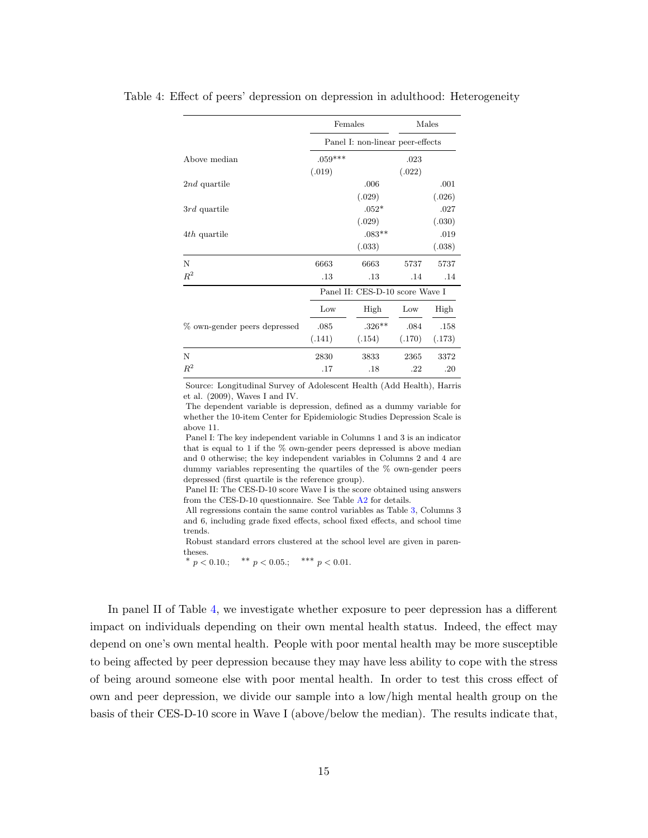<span id="page-14-0"></span>

|                              | Females   |                                  |        | Males  |
|------------------------------|-----------|----------------------------------|--------|--------|
|                              |           | Panel I: non-linear peer-effects |        |        |
| Above median                 | $.059***$ |                                  | .023   |        |
|                              | (.019)    |                                  | (.022) |        |
| 2nd quartile                 |           | .006                             |        | .001   |
|                              |           | (.029)                           |        | (.026) |
| 3rd quartile                 |           | $.052*$                          |        | .027   |
|                              |           | (.029)                           |        | (.030) |
| 4th quartile                 |           | $.083**$                         |        | .019   |
|                              |           | (.033)                           |        | (.038) |
| N                            | 6663      | 6663                             | 5737   | 5737   |
| $R^2$                        | .13       | .13                              | .14    | .14    |
|                              |           | Panel II: CES-D-10 score Wave I  |        |        |
|                              | Low       | High                             | Low    | High   |
| % own-gender peers depressed | .085      | $.326**$                         | .084   | .158   |
|                              | (.141)    | (.154)                           | (.170) | (.173) |
| N                            | 2830      | 3833                             | 2365   | 3372   |
| $R^2$                        | .17       | .18                              | .22    | .20    |

Table 4: Effect of peers' depression on depression in adulthood: Heterogeneity

Source: Longitudinal Survey of Adolescent Health (Add Health), Harris et al. (2009), Waves I and IV.

The dependent variable is depression, defined as a dummy variable for whether the 10-item Center for Epidemiologic Studies Depression Scale is above 11.

Panel I: The key independent variable in Columns 1 and 3 is an indicator that is equal to 1 if the % own-gender peers depressed is above median and 0 otherwise; the key independent variables in Columns 2 and 4 are dummy variables representing the quartiles of the % own-gender peers depressed (first quartile is the reference group).

Panel II: The CES-D-10 score Wave I is the score obtained using answers from the CES-D-10 questionnaire. See Table [A2](#page-30-0) for details.

All regressions contain the same control variables as Table [3,](#page-12-0) Columns 3 and 6, including grade fixed effects, school fixed effects, and school time trends.

Robust standard errors clustered at the school level are given in parentheses.

\*  $p < 0.10$ .; \*\*  $p < 0.05$ .; \*\*\*  $p < 0.01$ .

In panel II of Table [4,](#page-14-0) we investigate whether exposure to peer depression has a different impact on individuals depending on their own mental health status. Indeed, the effect may depend on one's own mental health. People with poor mental health may be more susceptible to being affected by peer depression because they may have less ability to cope with the stress of being around someone else with poor mental health. In order to test this cross effect of own and peer depression, we divide our sample into a low/high mental health group on the basis of their CES-D-10 score in Wave I (above/below the median). The results indicate that,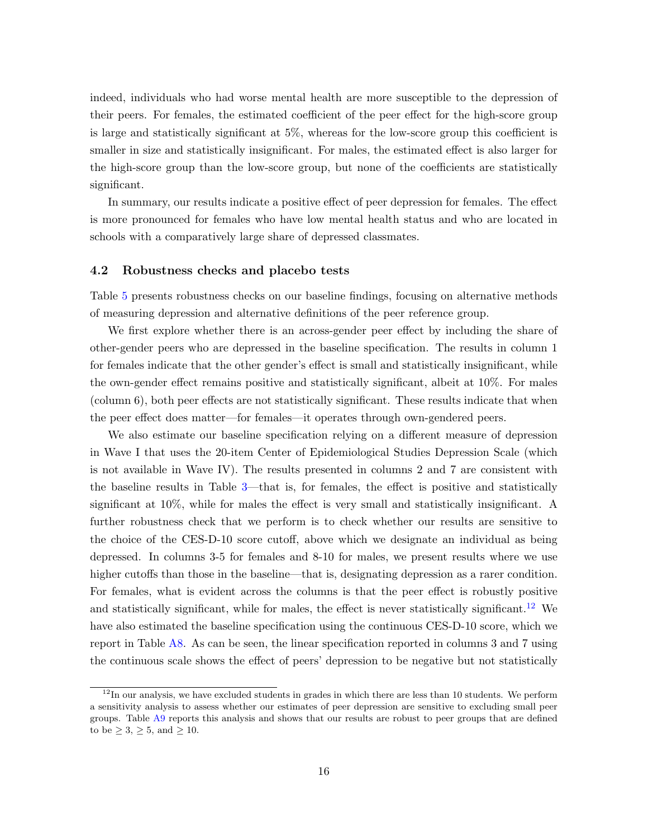indeed, individuals who had worse mental health are more susceptible to the depression of their peers. For females, the estimated coefficient of the peer effect for the high-score group is large and statistically significant at 5%, whereas for the low-score group this coefficient is smaller in size and statistically insignificant. For males, the estimated effect is also larger for the high-score group than the low-score group, but none of the coefficients are statistically significant.

In summary, our results indicate a positive effect of peer depression for females. The effect is more pronounced for females who have low mental health status and who are located in schools with a comparatively large share of depressed classmates.

#### <span id="page-15-0"></span>4.2 Robustness checks and placebo tests

Table [5](#page-16-0) presents robustness checks on our baseline findings, focusing on alternative methods of measuring depression and alternative definitions of the peer reference group.

We first explore whether there is an across-gender peer effect by including the share of other-gender peers who are depressed in the baseline specification. The results in column 1 for females indicate that the other gender's effect is small and statistically insignificant, while the own-gender effect remains positive and statistically significant, albeit at 10%. For males (column 6), both peer effects are not statistically significant. These results indicate that when the peer effect does matter—for females—it operates through own-gendered peers.

We also estimate our baseline specification relying on a different measure of depression in Wave I that uses the 20-item Center of Epidemiological Studies Depression Scale (which is not available in Wave IV). The results presented in columns 2 and 7 are consistent with the baseline results in Table [3—](#page-12-0)that is, for females, the effect is positive and statistically significant at 10%, while for males the effect is very small and statistically insignificant. A further robustness check that we perform is to check whether our results are sensitive to the choice of the CES-D-10 score cutoff, above which we designate an individual as being depressed. In columns 3-5 for females and 8-10 for males, we present results where we use higher cutoffs than those in the baseline—that is, designating depression as a rarer condition. For females, what is evident across the columns is that the peer effect is robustly positive and statistically significant, while for males, the effect is never statistically significant.<sup>[12](#page-0-0)</sup> We have also estimated the baseline specification using the continuous CES-D-10 score, which we report in Table [A8.](#page-34-0) As can be seen, the linear specification reported in columns 3 and 7 using the continuous scale shows the effect of peers' depression to be negative but not statistically

 $12$ In our analysis, we have excluded students in grades in which there are less than 10 students. We perform a sensitivity analysis to assess whether our estimates of peer depression are sensitive to excluding small peer groups. Table [A9](#page-35-0) reports this analysis and shows that our results are robust to peer groups that are defined to be  $\geq 3, \geq 5, \text{ and } \geq 10.$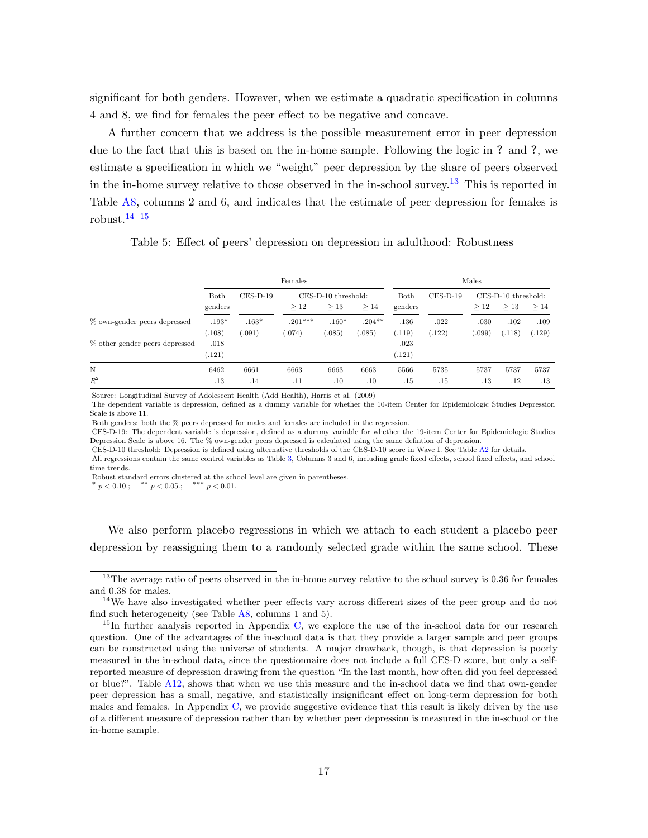significant for both genders. However, when we estimate a quadratic specification in columns 4 and 8, we find for females the peer effect to be negative and concave.

A further concern that we address is the possible measurement error in peer depression due to the fact that this is based on the in-home sample. Following the logic in ? and ?, we estimate a specification in which we "weight" peer depression by the share of peers observed in the in-home survey relative to those observed in the in-school survey.<sup>[13](#page-0-0)</sup> This is reported in Table [A8,](#page-34-0) columns 2 and 6, and indicates that the estimate of peer depression for females is robust. $14 \overline{15}$  $14 \overline{15}$  $14 \overline{15}$  $14 \overline{15}$ 

Table 5: Effect of peers' depression on depression in adulthood: Robustness

<span id="page-16-0"></span>

|                                                                |                              |                   | Females             |                            |                     |                        |                | Males         |                            |                |
|----------------------------------------------------------------|------------------------------|-------------------|---------------------|----------------------------|---------------------|------------------------|----------------|---------------|----------------------------|----------------|
|                                                                | Both<br>genders              | $CES-D-19$        | >12                 | CES-D-10 threshold:<br>>13 | >14                 | Both<br>genders        | $CES-D-19$     | >12           | CES-D-10 threshold:<br>>13 | >14            |
| % own-gender peers depressed<br>% other gender peers depressed | $.193*$<br>(.108)<br>$-.018$ | $.163*$<br>(.091) | $.201***$<br>(.074) | $.160*$<br>(.085)          | $.204***$<br>(.085) | .136<br>(.119)<br>.023 | .022<br>(.122) | .030<br>.099) | .102<br>(.118)             | .109<br>(.129) |
|                                                                | (.121)                       |                   |                     |                            |                     | (.121)                 |                |               |                            |                |
| N<br>$R^2$                                                     | 6462<br>.13                  | 6661<br>.14       | 6663<br>.11         | 6663<br>$.10\,$            | 6663<br>.10         | 5566<br>.15            | 5735<br>.15    | 5737<br>.13   | 5737<br>$.12\,$            | 5737<br>.13    |

Source: Longitudinal Survey of Adolescent Health (Add Health), Harris et al. (2009)

The dependent variable is depression, defined as a dummy variable for whether the 10-item Center for Epidemiologic Studies Depression Scale is above 11.

Both genders: both the % peers depressed for males and females are included in the regression.

CES-D-19: The dependent variable is depression, defined as a dummy variable for whether the 19-item Center for Epidemiologic Studies Depression Scale is above 16. The % own-gender peers depressed is calculated using the same defintion of depression.

CES-D-10 threshold: Depression is defined using alternative thresholds of the CES-D-10 score in Wave I. See Table [A2](#page-30-0) for details.

All regressions contain the same control variables as Table [3,](#page-12-0) Columns 3 and 6, including grade fixed effects, school fixed effects, and school time trends.

Robust standard errors clustered at the school level are given in parentheses.

\*  $p < 0.10$ .; \*\*  $p < 0.05$ .; \*\*\*  $p < 0.01$ .

We also perform placebo regressions in which we attach to each student a placebo peer depression by reassigning them to a randomly selected grade within the same school. These

<sup>&</sup>lt;sup>13</sup>The average ratio of peers observed in the in-home survey relative to the school survey is 0.36 for females and 0.38 for males.

<sup>&</sup>lt;sup>14</sup>We have also investigated whether peer effects vary across different sizes of the peer group and do not find such heterogeneity (see Table  $A8$ , columns 1 and 5).

 $15$ In further analysis reported in Appendix [C,](#page-37-0) we explore the use of the in-school data for our research question. One of the advantages of the in-school data is that they provide a larger sample and peer groups can be constructed using the universe of students. A major drawback, though, is that depression is poorly measured in the in-school data, since the questionnaire does not include a full CES-D score, but only a selfreported measure of depression drawing from the question "In the last month, how often did you feel depressed or blue?". Table [A12,](#page-38-0) shows that when we use this measure and the in-school data we find that own-gender peer depression has a small, negative, and statistically insignificant effect on long-term depression for both males and females. In Appendix [C,](#page-37-0) we provide suggestive evidence that this result is likely driven by the use of a different measure of depression rather than by whether peer depression is measured in the in-school or the in-home sample.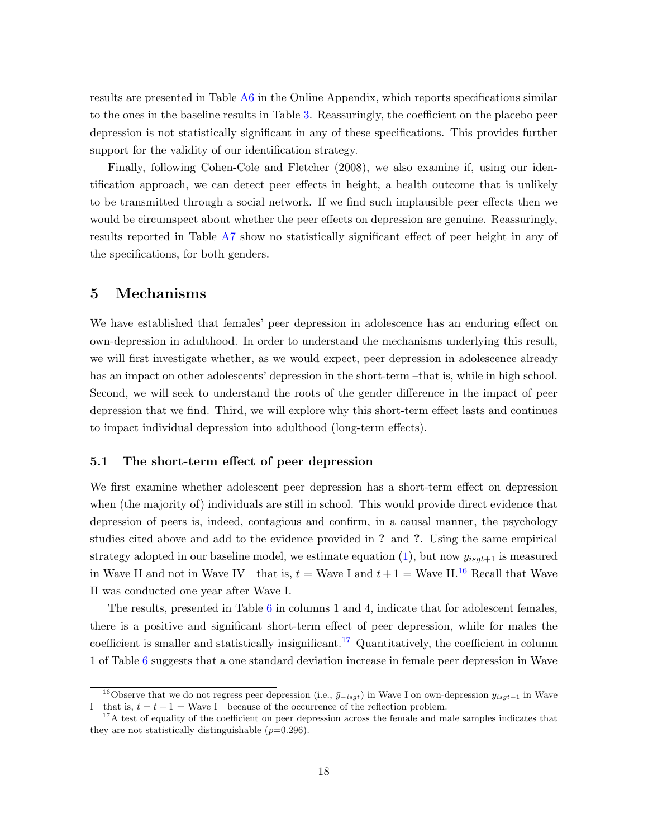results are presented in Table [A6](#page-33-0) in the Online Appendix, which reports specifications similar to the ones in the baseline results in Table [3.](#page-12-0) Reassuringly, the coefficient on the placebo peer depression is not statistically significant in any of these specifications. This provides further support for the validity of our identification strategy.

Finally, following Cohen-Cole and Fletcher (2008), we also examine if, using our identification approach, we can detect peer effects in height, a health outcome that is unlikely to be transmitted through a social network. If we find such implausible peer effects then we would be circumspect about whether the peer effects on depression are genuine. Reassuringly, results reported in Table [A7](#page-34-1) show no statistically significant effect of peer height in any of the specifications, for both genders.

## 5 Mechanisms

We have established that females' peer depression in adolescence has an enduring effect on own-depression in adulthood. In order to understand the mechanisms underlying this result, we will first investigate whether, as we would expect, peer depression in adolescence already has an impact on other adolescents' depression in the short-term –that is, while in high school. Second, we will seek to understand the roots of the gender difference in the impact of peer depression that we find. Third, we will explore why this short-term effect lasts and continues to impact individual depression into adulthood (long-term effects).

#### 5.1 The short-term effect of peer depression

We first examine whether adolescent peer depression has a short-term effect on depression when (the majority of) individuals are still in school. This would provide direct evidence that depression of peers is, indeed, contagious and confirm, in a causal manner, the psychology studies cited above and add to the evidence provided in ? and ?. Using the same empirical strategy adopted in our baseline model, we estimate equation  $(1)$ , but now  $y_{isqt+1}$  is measured in Wave II and not in Wave IV—that is,  $t =$  Wave I and  $t + 1 =$  Wave II.<sup>[16](#page-0-0)</sup> Recall that Wave II was conducted one year after Wave I.

The results, presented in Table [6](#page-18-0) in columns 1 and 4, indicate that for adolescent females, there is a positive and significant short-term effect of peer depression, while for males the coefficient is smaller and statistically insignificant.<sup>[17](#page-0-0)</sup> Quantitatively, the coefficient in column 1 of Table [6](#page-18-0) suggests that a one standard deviation increase in female peer depression in Wave

<sup>&</sup>lt;sup>16</sup>Observe that we do not regress peer depression (i.e.,  $\bar{y}-i s q t$ ) in Wave I on own-depression  $y_{isq t+1}$  in Wave I—that is,  $t = t + 1$  = Wave I—because of the occurrence of the reflection problem.

<sup>&</sup>lt;sup>17</sup>A test of equality of the coefficient on peer depression across the female and male samples indicates that they are not statistically distinguishable  $(p=0.296)$ .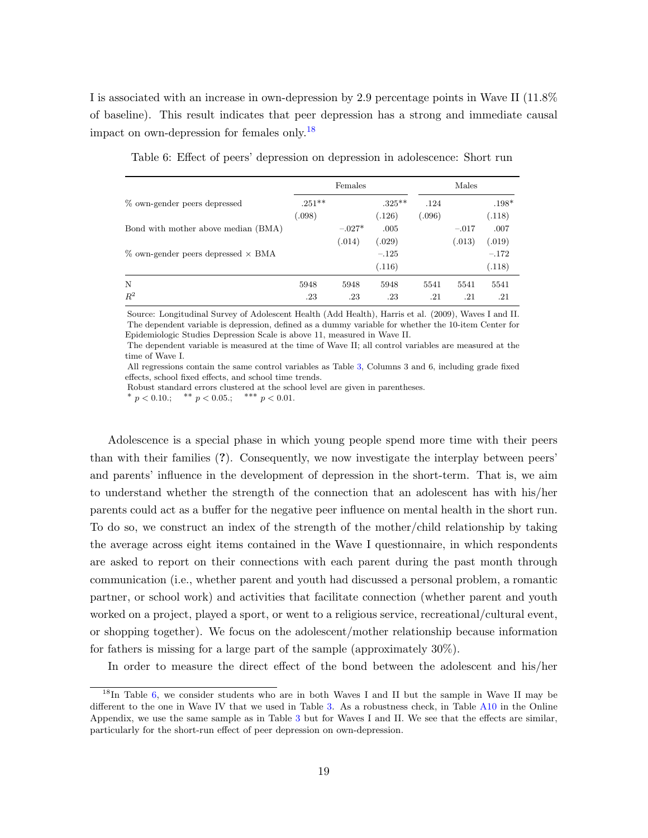I is associated with an increase in own-depression by 2.9 percentage points in Wave II (11.8% of baseline). This result indicates that peer depression has a strong and immediate causal impact on own-depression for females only.<sup>[18](#page-0-0)</sup>

<span id="page-18-0"></span>

|                                              |                    | Females  |                             |                | Males   |                             |
|----------------------------------------------|--------------------|----------|-----------------------------|----------------|---------|-----------------------------|
| % own-gender peers depressed                 | $.251**$<br>(.098) |          | $.325***$<br>(.126)         | .124<br>(.096) |         | $.198*$<br>(.118)           |
| Bond with mother above median (BMA)          |                    | $-.027*$ | .005                        |                | $-.017$ | .007                        |
| $\%$ own-gender peers depressed $\times$ BMA |                    | (.014)   | (.029)<br>$-.125$<br>(.116) |                | (.013)  | (.019)<br>$-.172$<br>(.118) |
| N                                            | 5948               | 5948     | 5948                        | 5541           | 5541    | 5541                        |
| $R^2$                                        | .23                | .23      | .23                         | .21            | .21     | .21                         |

Table 6: Effect of peers' depression on depression in adolescence: Short run

Source: Longitudinal Survey of Adolescent Health (Add Health), Harris et al. (2009), Waves I and II. The dependent variable is depression, defined as a dummy variable for whether the 10-item Center for Epidemiologic Studies Depression Scale is above 11, measured in Wave II.

The dependent variable is measured at the time of Wave II; all control variables are measured at the time of Wave I.

All regressions contain the same control variables as Table [3,](#page-12-0) Columns 3 and 6, including grade fixed effects, school fixed effects, and school time trends.

Robust standard errors clustered at the school level are given in parentheses.

\*  $p < 0.10$ .; \*\*  $p < 0.05$ .; \*\*\*  $p < 0.01$ .

Adolescence is a special phase in which young people spend more time with their peers than with their families (?). Consequently, we now investigate the interplay between peers' and parents' influence in the development of depression in the short-term. That is, we aim to understand whether the strength of the connection that an adolescent has with his/her parents could act as a buffer for the negative peer influence on mental health in the short run. To do so, we construct an index of the strength of the mother/child relationship by taking the average across eight items contained in the Wave I questionnaire, in which respondents are asked to report on their connections with each parent during the past month through communication (i.e., whether parent and youth had discussed a personal problem, a romantic partner, or school work) and activities that facilitate connection (whether parent and youth worked on a project, played a sport, or went to a religious service, recreational/cultural event, or shopping together). We focus on the adolescent/mother relationship because information for fathers is missing for a large part of the sample (approximately 30%).

In order to measure the direct effect of the bond between the adolescent and his/her

<sup>&</sup>lt;sup>18</sup>In Table [6,](#page-18-0) we consider students who are in both Waves I and II but the sample in Wave II may be different to the one in Wave IV that we used in Table [3.](#page-12-0) As a robustness check, in Table [A10](#page-36-0) in the Online Appendix, we use the same sample as in Table [3](#page-12-0) but for Waves I and II. We see that the effects are similar, particularly for the short-run effect of peer depression on own-depression.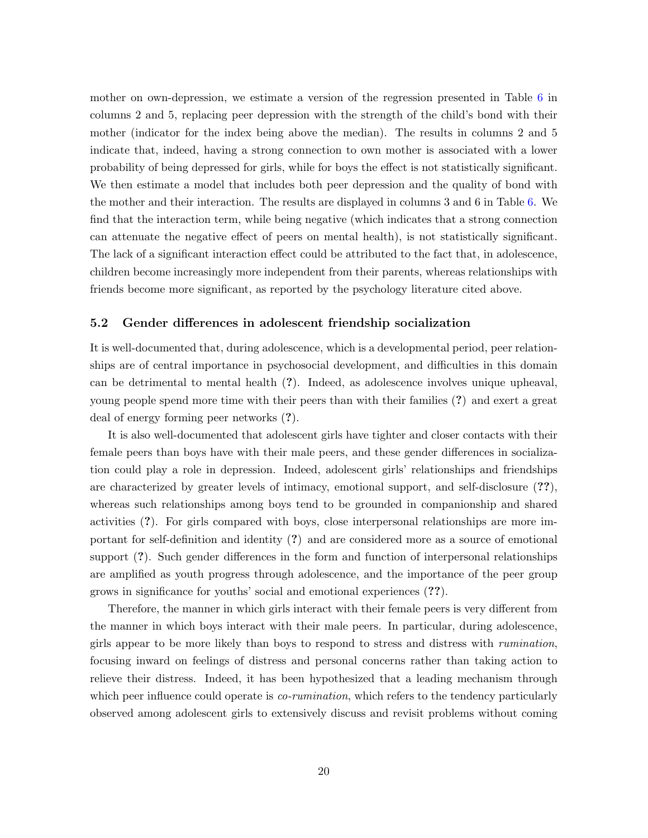mother on own-depression, we estimate a version of the regression presented in Table [6](#page-18-0) in columns 2 and 5, replacing peer depression with the strength of the child's bond with their mother (indicator for the index being above the median). The results in columns 2 and 5 indicate that, indeed, having a strong connection to own mother is associated with a lower probability of being depressed for girls, while for boys the effect is not statistically significant. We then estimate a model that includes both peer depression and the quality of bond with the mother and their interaction. The results are displayed in columns 3 and 6 in Table [6.](#page-18-0) We find that the interaction term, while being negative (which indicates that a strong connection can attenuate the negative effect of peers on mental health), is not statistically significant. The lack of a significant interaction effect could be attributed to the fact that, in adolescence, children become increasingly more independent from their parents, whereas relationships with friends become more significant, as reported by the psychology literature cited above.

#### 5.2 Gender differences in adolescent friendship socialization

It is well-documented that, during adolescence, which is a developmental period, peer relationships are of central importance in psychosocial development, and difficulties in this domain can be detrimental to mental health (?). Indeed, as adolescence involves unique upheaval, young people spend more time with their peers than with their families (?) and exert a great deal of energy forming peer networks (?).

It is also well-documented that adolescent girls have tighter and closer contacts with their female peers than boys have with their male peers, and these gender differences in socialization could play a role in depression. Indeed, adolescent girls' relationships and friendships are characterized by greater levels of intimacy, emotional support, and self-disclosure (??), whereas such relationships among boys tend to be grounded in companionship and shared activities (?). For girls compared with boys, close interpersonal relationships are more important for self-definition and identity (?) and are considered more as a source of emotional support (?). Such gender differences in the form and function of interpersonal relationships are amplified as youth progress through adolescence, and the importance of the peer group grows in significance for youths' social and emotional experiences (??).

Therefore, the manner in which girls interact with their female peers is very different from the manner in which boys interact with their male peers. In particular, during adolescence, girls appear to be more likely than boys to respond to stress and distress with rumination, focusing inward on feelings of distress and personal concerns rather than taking action to relieve their distress. Indeed, it has been hypothesized that a leading mechanism through which peer influence could operate is *co-rumination*, which refers to the tendency particularly observed among adolescent girls to extensively discuss and revisit problems without coming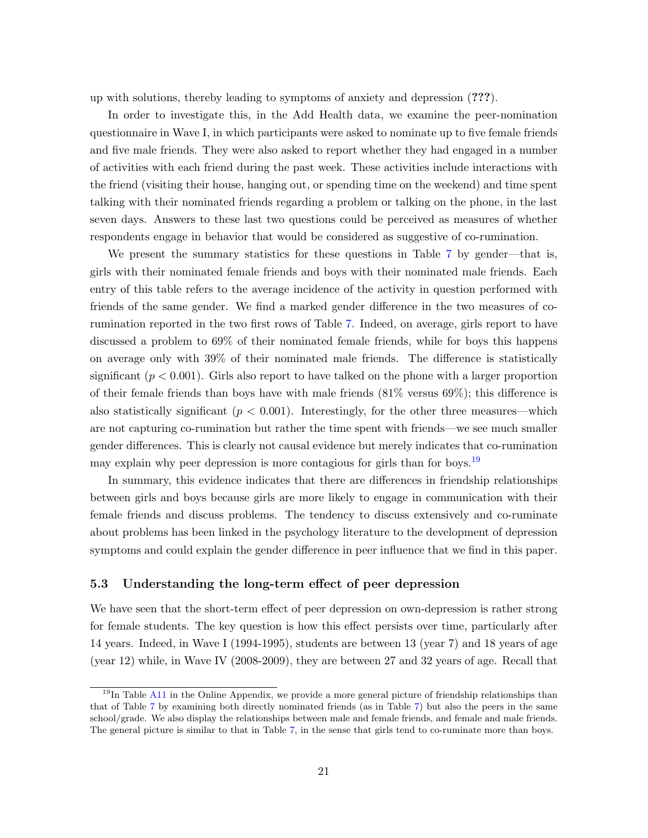up with solutions, thereby leading to symptoms of anxiety and depression (???).

In order to investigate this, in the Add Health data, we examine the peer-nomination questionnaire in Wave I, in which participants were asked to nominate up to five female friends and five male friends. They were also asked to report whether they had engaged in a number of activities with each friend during the past week. These activities include interactions with the friend (visiting their house, hanging out, or spending time on the weekend) and time spent talking with their nominated friends regarding a problem or talking on the phone, in the last seven days. Answers to these last two questions could be perceived as measures of whether respondents engage in behavior that would be considered as suggestive of co-rumination.

We present the summary statistics for these questions in Table [7](#page-21-0) by gender—that is, girls with their nominated female friends and boys with their nominated male friends. Each entry of this table refers to the average incidence of the activity in question performed with friends of the same gender. We find a marked gender difference in the two measures of corumination reported in the two first rows of Table [7.](#page-21-0) Indeed, on average, girls report to have discussed a problem to 69% of their nominated female friends, while for boys this happens on average only with 39% of their nominated male friends. The difference is statistically significant  $(p < 0.001)$ . Girls also report to have talked on the phone with a larger proportion of their female friends than boys have with male friends  $(81\%$  versus  $69\%)$ ; this difference is also statistically significant ( $p < 0.001$ ). Interestingly, for the other three measures—which are not capturing co-rumination but rather the time spent with friends—we see much smaller gender differences. This is clearly not causal evidence but merely indicates that co-rumination may explain why peer depression is more contagious for girls than for boys.<sup>[19](#page-0-0)</sup>

In summary, this evidence indicates that there are differences in friendship relationships between girls and boys because girls are more likely to engage in communication with their female friends and discuss problems. The tendency to discuss extensively and co-ruminate about problems has been linked in the psychology literature to the development of depression symptoms and could explain the gender difference in peer influence that we find in this paper.

#### 5.3 Understanding the long-term effect of peer depression

We have seen that the short-term effect of peer depression on own-depression is rather strong for female students. The key question is how this effect persists over time, particularly after 14 years. Indeed, in Wave I (1994-1995), students are between 13 (year 7) and 18 years of age (year 12) while, in Wave IV (2008-2009), they are between 27 and 32 years of age. Recall that

<sup>&</sup>lt;sup>19</sup>In Table [A11](#page-36-1) in the Online Appendix, we provide a more general picture of friendship relationships than that of Table [7](#page-21-0) by examining both directly nominated friends (as in Table [7\)](#page-21-0) but also the peers in the same school/grade. We also display the relationships between male and female friends, and female and male friends. The general picture is similar to that in Table [7,](#page-21-0) in the sense that girls tend to co-ruminate more than boys.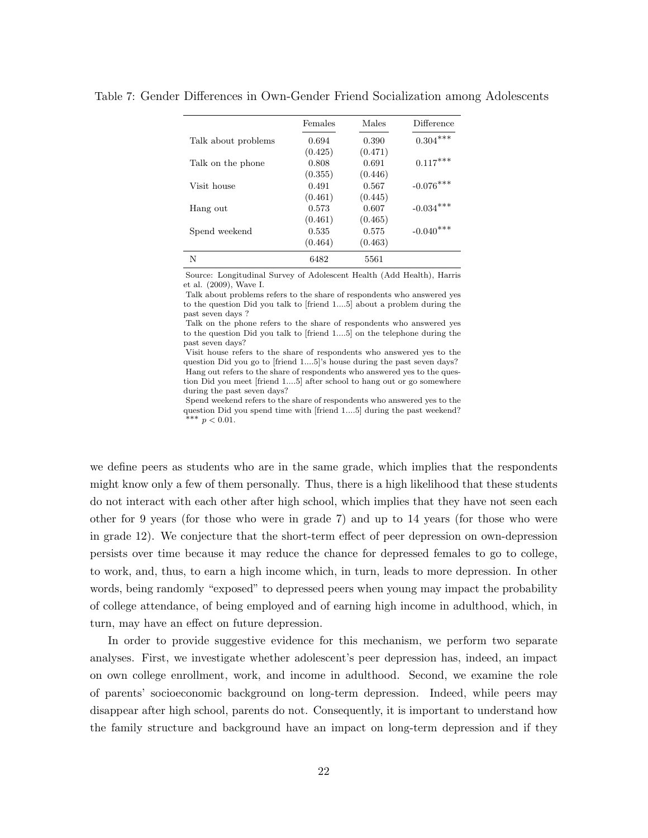|                     | Females | Males   | Difference      |
|---------------------|---------|---------|-----------------|
| Talk about problems | 0.694   | 0.390   | $0.304^{***}\,$ |
|                     | (0.425) | (0.471) |                 |
| Talk on the phone   | 0.808   | 0.691   | $0.117***$      |
|                     | (0.355) | (0.446) |                 |
| Visit house         | 0.491   | 0.567   | $-0.076***$     |
|                     | (0.461) | (0.445) |                 |
| Hang out            | 0.573   | 0.607   | $-0.034***$     |
|                     | (0.461) | (0.465) |                 |
| Spend weekend       | 0.535   | 0.575   | $-0.040***$     |
|                     | (0.464) | (0.463) |                 |
| N                   | 6482    | 5561    |                 |

<span id="page-21-0"></span>Table 7: Gender Differences in Own-Gender Friend Socialization among Adolescents

Source: Longitudinal Survey of Adolescent Health (Add Health), Harris et al. (2009), Wave I.

Talk about problems refers to the share of respondents who answered yes to the question Did you talk to [friend 1....5] about a problem during the past seven days ?

Talk on the phone refers to the share of respondents who answered yes to the question Did you talk to [friend 1....5] on the telephone during the past seven days?

Visit house refers to the share of respondents who answered yes to the question Did you go to [friend 1....5]'s house during the past seven days? Hang out refers to the share of respondents who answered yes to the question Did you meet [friend 1....5] after school to hang out or go somewhere during the past seven days?

Spend weekend refers to the share of respondents who answered yes to the question Did you spend time with [friend 1....5] during the past weekend? ∗∗∗ p < 0.01.

we define peers as students who are in the same grade, which implies that the respondents might know only a few of them personally. Thus, there is a high likelihood that these students do not interact with each other after high school, which implies that they have not seen each other for 9 years (for those who were in grade 7) and up to 14 years (for those who were in grade 12). We conjecture that the short-term effect of peer depression on own-depression persists over time because it may reduce the chance for depressed females to go to college, to work, and, thus, to earn a high income which, in turn, leads to more depression. In other words, being randomly "exposed" to depressed peers when young may impact the probability of college attendance, of being employed and of earning high income in adulthood, which, in turn, may have an effect on future depression.

In order to provide suggestive evidence for this mechanism, we perform two separate analyses. First, we investigate whether adolescent's peer depression has, indeed, an impact on own college enrollment, work, and income in adulthood. Second, we examine the role of parents' socioeconomic background on long-term depression. Indeed, while peers may disappear after high school, parents do not. Consequently, it is important to understand how the family structure and background have an impact on long-term depression and if they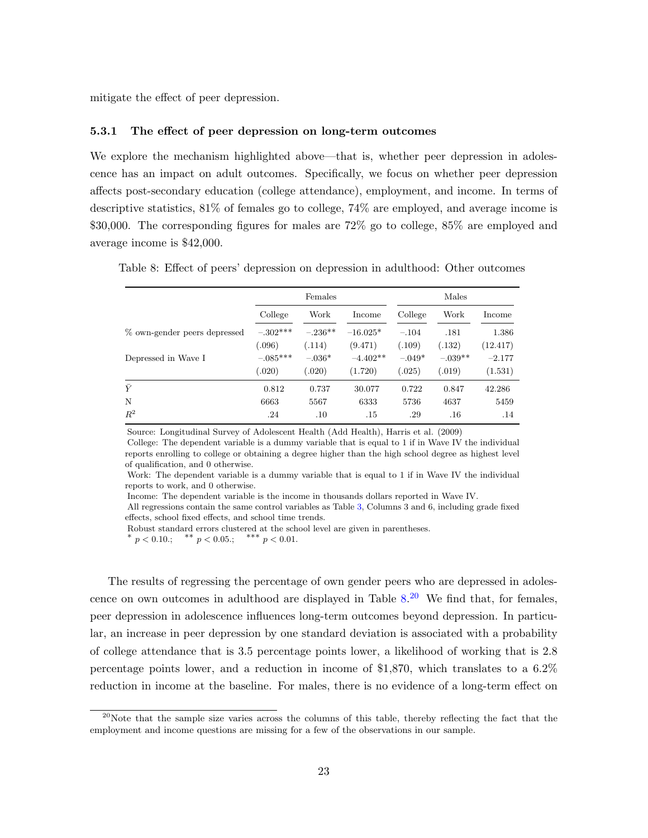mitigate the effect of peer depression.

#### 5.3.1 The effect of peer depression on long-term outcomes

We explore the mechanism highlighted above—that is, whether peer depression in adolescence has an impact on adult outcomes. Specifically, we focus on whether peer depression affects post-secondary education (college attendance), employment, and income. In terms of descriptive statistics, 81% of females go to college, 74% are employed, and average income is \$30,000. The corresponding figures for males are 72% go to college, 85% are employed and average income is \$42,000.

<span id="page-22-0"></span>

|                              |            | Females   |            |          | Males     |          |
|------------------------------|------------|-----------|------------|----------|-----------|----------|
|                              | College    | Work      | Income     | College  | Work      | Income   |
| % own-gender peers depressed | $-.302***$ | $-.236**$ | $-16.025*$ | $-.104$  | .181      | 1.386    |
|                              | (.096)     | (.114)    | (9.471)    | (.109)   | (.132)    | (12.417) |
| Depressed in Wave I          | $-.085***$ | $-.036*$  | $-4.402**$ | $-.049*$ | $-.039**$ | $-2.177$ |
|                              | (.020)     | (.020)    | (1.720)    | (.025)   | (.019)    | (1.531)  |
| $\bar{Y}$                    | 0.812      | 0.737     | 30.077     | 0.722    | 0.847     | 42.286   |
| N                            | 6663       | 5567      | 6333       | 5736     | 4637      | 5459     |
| $R^2$                        | .24        | .10       | .15        | .29      | .16       | .14      |

Table 8: Effect of peers' depression on depression in adulthood: Other outcomes

Source: Longitudinal Survey of Adolescent Health (Add Health), Harris et al. (2009)

College: The dependent variable is a dummy variable that is equal to 1 if in Wave IV the individual reports enrolling to college or obtaining a degree higher than the high school degree as highest level of qualification, and 0 otherwise.

Work: The dependent variable is a dummy variable that is equal to 1 if in Wave IV the individual reports to work, and 0 otherwise.

Income: The dependent variable is the income in thousands dollars reported in Wave IV.

All regressions contain the same control variables as Table [3,](#page-12-0) Columns 3 and 6, including grade fixed effects, school fixed effects, and school time trends.

Robust standard errors clustered at the school level are given in parentheses. \*  $p < 0.10$ .; \*\*  $p < 0.05$ .; \*\*\*  $p < 0.01$ .

The results of regressing the percentage of own gender peers who are depressed in adolescence on own outcomes in adulthood are displayed in Table  $8.^{20}$  $8.^{20}$  $8.^{20}$  $8.^{20}$  We find that, for females, peer depression in adolescence influences long-term outcomes beyond depression. In particular, an increase in peer depression by one standard deviation is associated with a probability of college attendance that is 3.5 percentage points lower, a likelihood of working that is 2.8 percentage points lower, and a reduction in income of \$1,870, which translates to a 6.2% reduction in income at the baseline. For males, there is no evidence of a long-term effect on

 $^{20}$ Note that the sample size varies across the columns of this table, thereby reflecting the fact that the employment and income questions are missing for a few of the observations in our sample.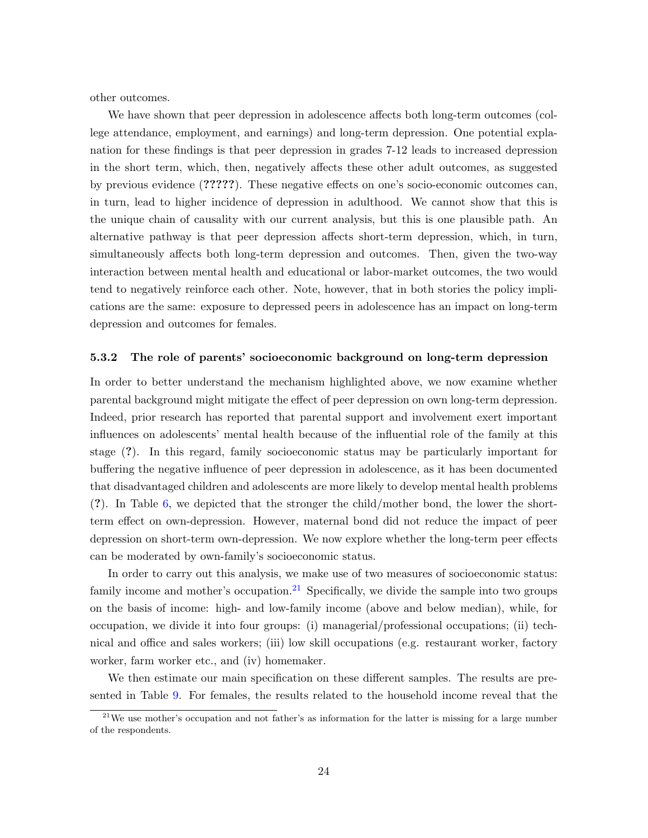other outcomes.

We have shown that peer depression in adolescence affects both long-term outcomes (college attendance, employment, and earnings) and long-term depression. One potential explanation for these findings is that peer depression in grades 7-12 leads to increased depression in the short term, which, then, negatively affects these other adult outcomes, as suggested by previous evidence (?????). These negative effects on one's socio-economic outcomes can, in turn, lead to higher incidence of depression in adulthood. We cannot show that this is the unique chain of causality with our current analysis, but this is one plausible path. An alternative pathway is that peer depression affects short-term depression, which, in turn, simultaneously affects both long-term depression and outcomes. Then, given the two-way interaction between mental health and educational or labor-market outcomes, the two would tend to negatively reinforce each other. Note, however, that in both stories the policy implications are the same: exposure to depressed peers in adolescence has an impact on long-term depression and outcomes for females.

#### 5.3.2 The role of parents' socioeconomic background on long-term depression

In order to better understand the mechanism highlighted above, we now examine whether parental background might mitigate the effect of peer depression on own long-term depression. Indeed, prior research has reported that parental support and involvement exert important influences on adolescents' mental health because of the influential role of the family at this stage (?). In this regard, family socioeconomic status may be particularly important for buffering the negative influence of peer depression in adolescence, as it has been documented that disadvantaged children and adolescents are more likely to develop mental health problems (?). In Table [6,](#page-18-0) we depicted that the stronger the child/mother bond, the lower the shortterm effect on own-depression. However, maternal bond did not reduce the impact of peer depression on short-term own-depression. We now explore whether the long-term peer effects can be moderated by own-family's socioeconomic status.

In order to carry out this analysis, we make use of two measures of socioeconomic status: family income and mother's occupation.<sup>[21](#page-0-0)</sup> Specifically, we divide the sample into two groups on the basis of income: high- and low-family income (above and below median), while, for occupation, we divide it into four groups: (i) managerial/professional occupations; (ii) technical and office and sales workers; (iii) low skill occupations (e.g. restaurant worker, factory worker, farm worker etc., and (iv) homemaker.

We then estimate our main specification on these different samples. The results are presented in Table [9.](#page-24-0) For females, the results related to the household income reveal that the

 $21$ We use mother's occupation and not father's as information for the latter is missing for a large number of the respondents.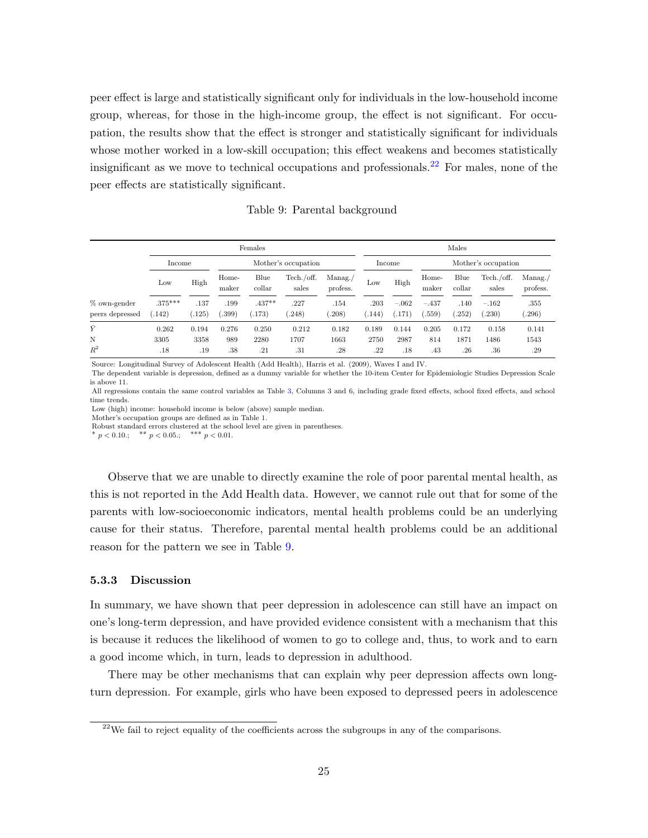peer effect is large and statistically significant only for individuals in the low-household income group, whereas, for those in the high-income group, the effect is not significant. For occupation, the results show that the effect is stronger and statistically significant for individuals whose mother worked in a low-skill occupation; this effect weakens and becomes statistically insignificant as we move to technical occupations and professionals.<sup>[22](#page-0-0)</sup> For males, none of the peer effects are statistically significant.

Table 9: Parental background

<span id="page-24-0"></span>

| Females                           |                     |                               |                |                    |                      |                               |                 | Males            |                   |                |                     |                      |
|-----------------------------------|---------------------|-------------------------------|----------------|--------------------|----------------------|-------------------------------|-----------------|------------------|-------------------|----------------|---------------------|----------------------|
|                                   |                     | Mother's occupation<br>Income |                |                    |                      | Mother's occupation<br>Income |                 |                  |                   |                |                     |                      |
|                                   | Low                 | High                          | Home-<br>maker | Blue<br>collar     | Techn./off.<br>sales | Manag./<br>profess.           | Low             | High             | Home-<br>maker    | Blue<br>collar | Tech./off.<br>sales | Manag. /<br>profess. |
| $%$ own-gender<br>peers depressed | $.375***$<br>(.142) | .137<br>(.125)                | .199<br>(.399) | $.437**$<br>(.173) | .227<br>(248)        | .154<br>.208)                 | .203<br>(0.144) | $-.062$<br>(171) | $-.437$<br>(.559) | .140<br>(252)  | $-.162$<br>(.230)   | .355<br>.296)        |
| $\bar{Y}$                         | 0.262               | 0.194                         | 0.276          | 0.250              | 0.212                | 0.182                         | 0.189           | 0.144            | 0.205             | 0.172          | 0.158               | 0.141                |
| N                                 | 3305                | 3358                          | 989            | 2280               | 1707                 | 1663                          | 2750            | 2987             | 814               | 1871           | 1486                | 1543                 |
| $R^2$                             | .18                 | .19                           | .38            | .21                | .31                  | .28                           | .22             | .18              | .43               | .26            | $.36\,$             | .29                  |

Source: Longitudinal Survey of Adolescent Health (Add Health), Harris et al. (2009), Waves I and IV.

The dependent variable is depression, defined as a dummy variable for whether the 10-item Center for Epidemiologic Studies Depression Scale is above 11.

All regressions contain the same control variables as Table [3,](#page-12-0) Columns 3 and 6, including grade fixed effects, school fixed effects, and school time trends.

Low (high) income: household income is below (above) sample median.

Mother's occupation groups are defined as in Table [1.](#page-8-0) Robust standard errors clustered at the school level are given in parentheses.

\*  $p < 0.10$ .; \*\*  $p < 0.05$ .; \*\*\*  $p < 0.01$ .

Observe that we are unable to directly examine the role of poor parental mental health, as this is not reported in the Add Health data. However, we cannot rule out that for some of the parents with low-socioeconomic indicators, mental health problems could be an underlying cause for their status. Therefore, parental mental health problems could be an additional reason for the pattern we see in Table [9.](#page-24-0)

#### 5.3.3 Discussion

In summary, we have shown that peer depression in adolescence can still have an impact on one's long-term depression, and have provided evidence consistent with a mechanism that this is because it reduces the likelihood of women to go to college and, thus, to work and to earn a good income which, in turn, leads to depression in adulthood.

There may be other mechanisms that can explain why peer depression affects own longturn depression. For example, girls who have been exposed to depressed peers in adolescence

 $^{22}$ We fail to reject equality of the coefficients across the subgroups in any of the comparisons.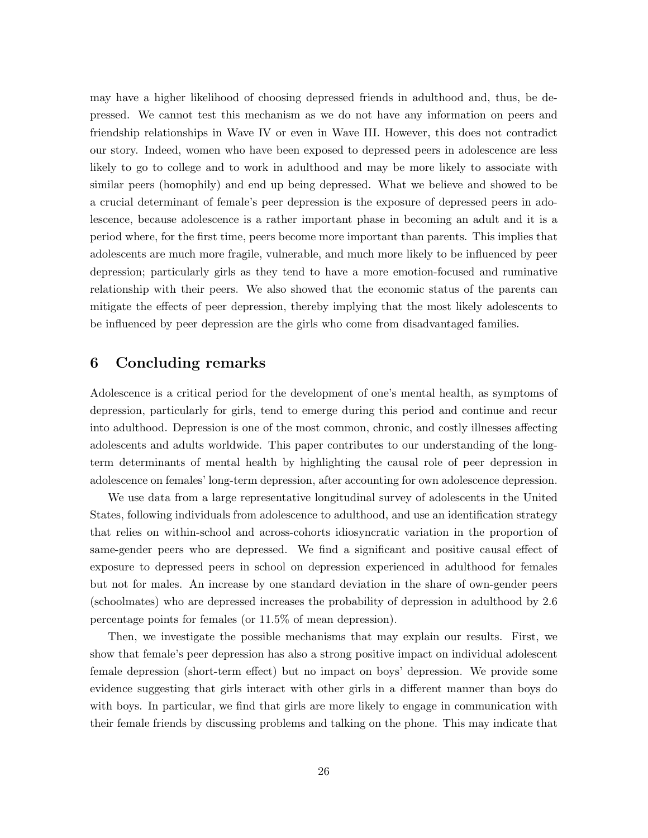may have a higher likelihood of choosing depressed friends in adulthood and, thus, be depressed. We cannot test this mechanism as we do not have any information on peers and friendship relationships in Wave IV or even in Wave III. However, this does not contradict our story. Indeed, women who have been exposed to depressed peers in adolescence are less likely to go to college and to work in adulthood and may be more likely to associate with similar peers (homophily) and end up being depressed. What we believe and showed to be a crucial determinant of female's peer depression is the exposure of depressed peers in adolescence, because adolescence is a rather important phase in becoming an adult and it is a period where, for the first time, peers become more important than parents. This implies that adolescents are much more fragile, vulnerable, and much more likely to be influenced by peer depression; particularly girls as they tend to have a more emotion-focused and ruminative relationship with their peers. We also showed that the economic status of the parents can mitigate the effects of peer depression, thereby implying that the most likely adolescents to be influenced by peer depression are the girls who come from disadvantaged families.

## 6 Concluding remarks

Adolescence is a critical period for the development of one's mental health, as symptoms of depression, particularly for girls, tend to emerge during this period and continue and recur into adulthood. Depression is one of the most common, chronic, and costly illnesses affecting adolescents and adults worldwide. This paper contributes to our understanding of the longterm determinants of mental health by highlighting the causal role of peer depression in adolescence on females' long-term depression, after accounting for own adolescence depression.

We use data from a large representative longitudinal survey of adolescents in the United States, following individuals from adolescence to adulthood, and use an identification strategy that relies on within-school and across-cohorts idiosyncratic variation in the proportion of same-gender peers who are depressed. We find a significant and positive causal effect of exposure to depressed peers in school on depression experienced in adulthood for females but not for males. An increase by one standard deviation in the share of own-gender peers (schoolmates) who are depressed increases the probability of depression in adulthood by 2.6 percentage points for females (or 11.5% of mean depression).

Then, we investigate the possible mechanisms that may explain our results. First, we show that female's peer depression has also a strong positive impact on individual adolescent female depression (short-term effect) but no impact on boys' depression. We provide some evidence suggesting that girls interact with other girls in a different manner than boys do with boys. In particular, we find that girls are more likely to engage in communication with their female friends by discussing problems and talking on the phone. This may indicate that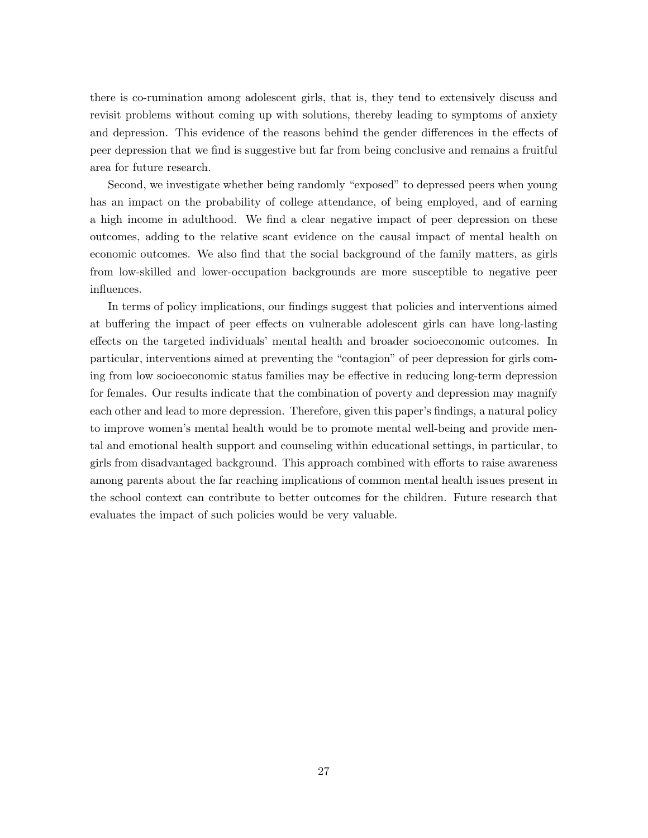there is co-rumination among adolescent girls, that is, they tend to extensively discuss and revisit problems without coming up with solutions, thereby leading to symptoms of anxiety and depression. This evidence of the reasons behind the gender differences in the effects of peer depression that we find is suggestive but far from being conclusive and remains a fruitful area for future research.

Second, we investigate whether being randomly "exposed" to depressed peers when young has an impact on the probability of college attendance, of being employed, and of earning a high income in adulthood. We find a clear negative impact of peer depression on these outcomes, adding to the relative scant evidence on the causal impact of mental health on economic outcomes. We also find that the social background of the family matters, as girls from low-skilled and lower-occupation backgrounds are more susceptible to negative peer influences.

In terms of policy implications, our findings suggest that policies and interventions aimed at buffering the impact of peer effects on vulnerable adolescent girls can have long-lasting effects on the targeted individuals' mental health and broader socioeconomic outcomes. In particular, interventions aimed at preventing the "contagion" of peer depression for girls coming from low socioeconomic status families may be effective in reducing long-term depression for females. Our results indicate that the combination of poverty and depression may magnify each other and lead to more depression. Therefore, given this paper's findings, a natural policy to improve women's mental health would be to promote mental well-being and provide mental and emotional health support and counseling within educational settings, in particular, to girls from disadvantaged background. This approach combined with efforts to raise awareness among parents about the far reaching implications of common mental health issues present in the school context can contribute to better outcomes for the children. Future research that evaluates the impact of such policies would be very valuable.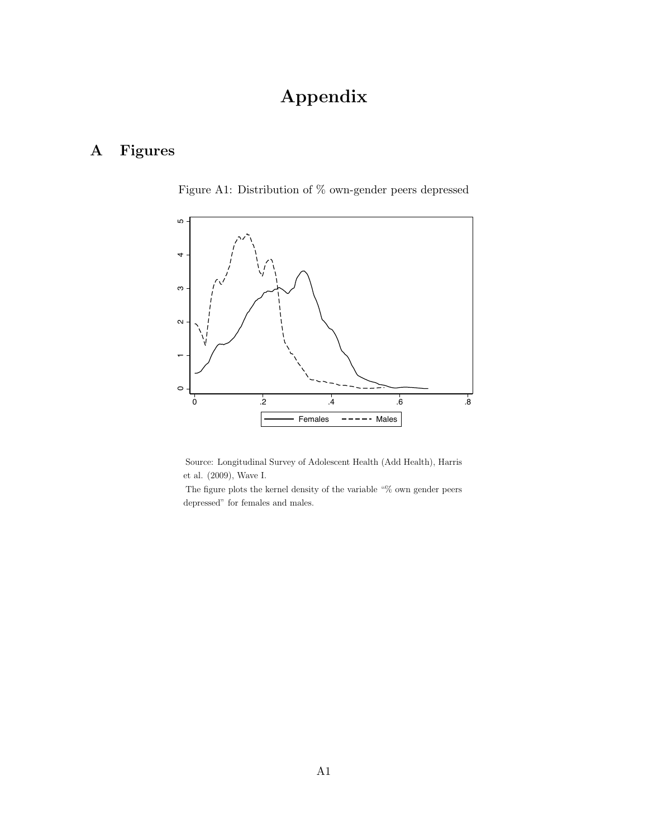# Appendix

# <span id="page-27-0"></span>A Figures

Figure A1: Distribution of % own-gender peers depressed



Source: Longitudinal Survey of Adolescent Health (Add Health), Harris et al. (2009), Wave I.

The figure plots the kernel density of the variable "% own gender peers depressed" for females and males.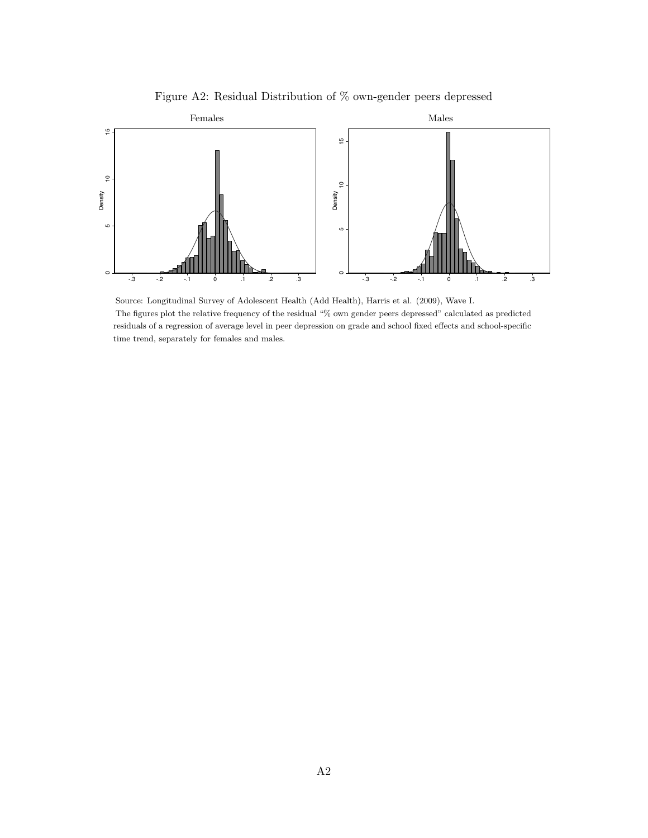

<span id="page-28-0"></span>

Source: Longitudinal Survey of Adolescent Health (Add Health), Harris et al. (2009), Wave I. The figures plot the relative frequency of the residual "% own gender peers depressed" calculated as predicted residuals of a regression of average level in peer depression on grade and school fixed effects and school-specific time trend, separately for females and males.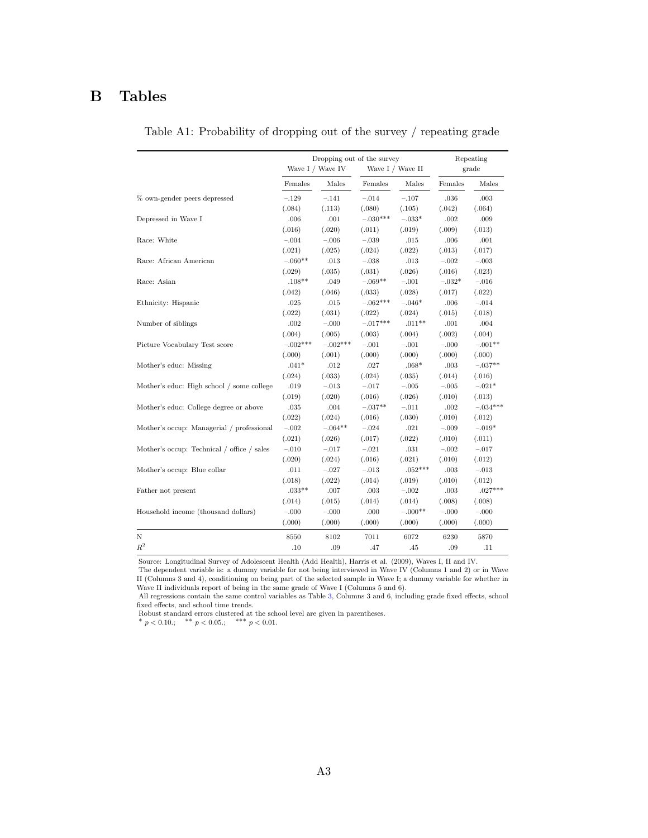## B Tables

<span id="page-29-0"></span>

|                                            |            | Dropping out of the survey<br>Wave I / Wave IV |            | Wave I / Wave II | Repeating<br>grade |            |  |
|--------------------------------------------|------------|------------------------------------------------|------------|------------------|--------------------|------------|--|
|                                            | Females    | Males                                          | Females    | Males            | Females            | Males      |  |
|                                            |            |                                                |            |                  |                    |            |  |
| % own-gender peers depressed               | $-.129$    | $-.141$                                        | $-.014$    | $-.107$          | .036               | .003       |  |
|                                            | (.084)     | (.113)                                         | (.080)     | (.105)           | (.042)             | (.064)     |  |
| Depressed in Wave I                        | .006       | .001                                           | $-.030***$ | $-.033*$         | .002               | .009       |  |
|                                            | (.016)     | (.020)                                         | (.011)     | (.019)           | (.009)             | (.013)     |  |
| Race: White                                | $-.004$    | $-.006$                                        | $-.039$    | .015             | .006               | .001       |  |
|                                            | (.021)     | (.025)                                         | (.024)     | (.022)           | (.013)             | (.017)     |  |
| Race: African American                     | $-.060**$  | .013                                           | $-.038$    | .013             | $-.002$            | $-.003$    |  |
|                                            | (.029)     | (.035)                                         | (.031)     | (.026)           | (.016)             | (.023)     |  |
| Race: Asian                                | $.108**$   | .049                                           | $-.069**$  | $-.001$          | $-.032*$           | $-.016$    |  |
|                                            | (.042)     | (.046)                                         | (.033)     | (.028)           | (.017)             | (.022)     |  |
| Ethnicity: Hispanic                        | .025       | .015                                           | $-.062***$ | $-.046*$         | .006               | $-.014$    |  |
|                                            | (.022)     | (.031)                                         | (.022)     | (.024)           | (.015)             | (.018)     |  |
| Number of siblings                         | $.002\,$   | $-.000$                                        | $-.017***$ | $.011**$         | $.001$             | .004       |  |
|                                            | (.004)     | (.005)                                         | (.003)     | (.004)           | (.002)             | (.004)     |  |
| Picture Vocabulary Test score              | $-.002***$ | $-.002***$                                     | $-.001$    | $-.001$          | $-.000$            | $-.001**$  |  |
|                                            | (.000)     | (.001)                                         | (.000)     | (.000)           | (.000)             | (.000)     |  |
| Mother's educ: Missing                     | $.041*$    | .012                                           | .027       | $.068*$          | .003               | $-.037**$  |  |
|                                            | (.024)     | (.033)                                         | (.024)     | (.035)           | (.014)             | (.016)     |  |
| Mother's educ: High school / some college  | .019       | $-.013$                                        | $-.017$    | $-.005$          | $-.005$            | $-.021*$   |  |
|                                            | (.019)     | (.020)                                         | (.016)     | (.026)           | (.010)             | (.013)     |  |
| Mother's educ: College degree or above     | .035       | .004                                           | $-.037**$  | $-.011$          | .002               | $-0.34***$ |  |
|                                            | (.022)     | (.024)                                         | (.016)     | (.030)           | (.010)             | (.012)     |  |
| Mother's occup: Managerial / professional  | $-.002$    | $-.064**$                                      | $-.024$    | .021             | $-.009$            | $-.019*$   |  |
|                                            | (.021)     | (.026)                                         | (.017)     | (.022)           | (.010)             | (.011)     |  |
| Mother's occup: Technical / office / sales | $-.010$    | $-.017$                                        | $-.021$    | .031             | $-.002$            | $-.017$    |  |
|                                            | (.020)     | (.024)                                         | (.016)     | (.021)           | (.010)             | (.012)     |  |
| Mother's occup: Blue collar                | .011       | $-.027$                                        | $-.013$    | $.052***$        | .003               | $-.013$    |  |
|                                            | (.018)     | (.022)                                         | (.014)     | (.019)           | (.010)             | (.012)     |  |
| Father not present                         | $.033**$   | .007                                           | .003       | $-.002$          | .003               | $.027***$  |  |
|                                            | (.014)     | (.015)                                         | (.014)     | (.014)           | (.008)             | (.008)     |  |
| Household income (thousand dollars)        | $-.000$    | $-.000$                                        | .000       | $-.000**$        | $-.000$            | $-.000$    |  |
|                                            | (.000)     | (.000)                                         | (.000)     | (.000)           | (.000)             | (.000)     |  |
| Ν                                          | 8550       | 8102                                           | 7011       | 6072             | 6230               | 5870       |  |
| $R^2$                                      | .10        | .09                                            | .47        | .45              | .09                | .11        |  |

Table A1: Probability of dropping out of the survey / repeating grade

Source: Longitudinal Survey of Adolescent Health (Add Health), Harris et al. (2009), Waves I, II and IV.

The dependent variable is: a dummy variable for not being interviewed in Wave IV (Columns 1 and 2) or in Wave II (Columns 3 and 4), conditioning on being part of the selected sample in Wave I; a dummy variable for whether in Wave II individuals report of being in the same grade of Wave I (Columns 5 and 6).

All regressions contain the same control variables as Table [3,](#page-12-0) Columns 3 and 6, including grade fixed effects, school fixed effects, and school time trends.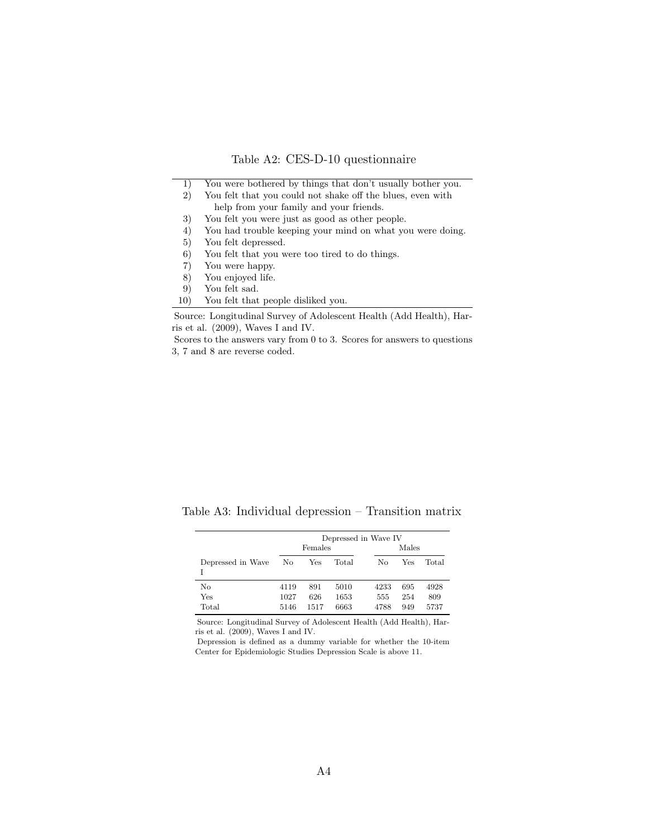|  | Table A2: CES-D-10 questionnaire |  |  |
|--|----------------------------------|--|--|
|--|----------------------------------|--|--|

<span id="page-30-0"></span>

| 1)  | You were bothered by things that don't usually bother you. |
|-----|------------------------------------------------------------|
| 2)  | You felt that you could not shake off the blues, even with |
|     | help from your family and your friends.                    |
| 3)  | You felt you were just as good as other people.            |
| 4)  | You had trouble keeping your mind on what you were doing.  |
| 5)  | You felt depressed.                                        |
| 6)  | You felt that you were too tired to do things.             |
| 7)  | You were happy.                                            |
| 8)  | You enjoved life.                                          |
| 9)  | You felt sad.                                              |
| 10) | You felt that people disliked you.                         |

Source: Longitudinal Survey of Adolescent Health (Add Health), Harris et al. (2009), Waves I and IV.

Scores to the answers vary from 0 to 3. Scores for answers to questions 3, 7 and 8 are reverse coded.

<span id="page-30-1"></span>Table A3: Individual depression – Transition matrix

|                    | Depressed in Wave IV |                    |                      |                     |                   |                     |  |  |  |
|--------------------|----------------------|--------------------|----------------------|---------------------|-------------------|---------------------|--|--|--|
|                    |                      | Females            |                      |                     | Males             |                     |  |  |  |
| Depressed in Wave  | No                   | Yes                | Total                | No                  | Yes               | Total               |  |  |  |
| No<br>Yes<br>Total | 4119<br>1027<br>5146 | 891<br>626<br>1517 | 5010<br>1653<br>6663 | 4233<br>555<br>4788 | 695<br>254<br>949 | 4928<br>809<br>5737 |  |  |  |

Source: Longitudinal Survey of Adolescent Health (Add Health), Harris et al. (2009), Waves I and IV.

Depression is defined as a dummy variable for whether the 10-item Center for Epidemiologic Studies Depression Scale is above 11.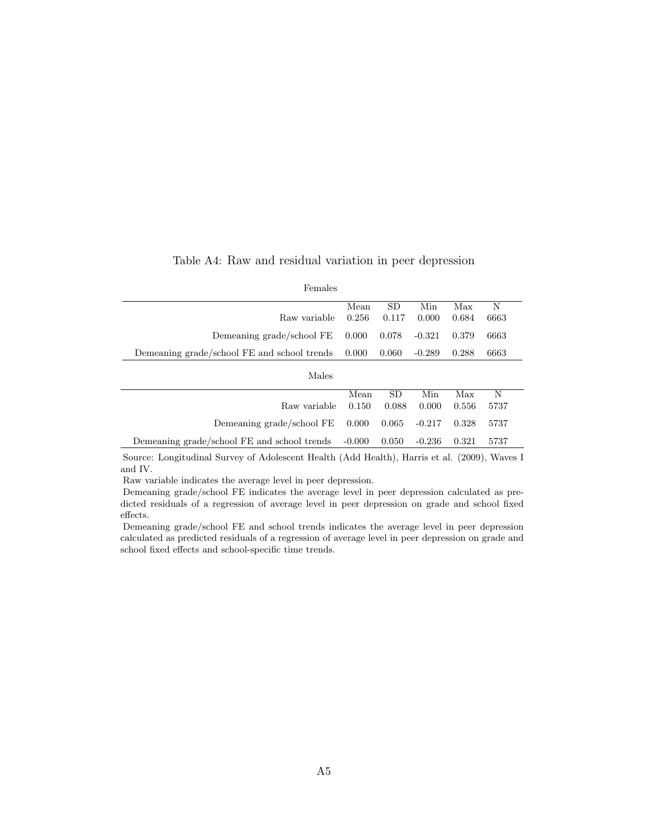<span id="page-31-0"></span>

| Females                                     |          |           |          |       |      |  |
|---------------------------------------------|----------|-----------|----------|-------|------|--|
|                                             | Mean     | <b>SD</b> | Min      | Max   | N    |  |
| Raw variable                                | 0.256    | 0.117     | 0.000    | 0.684 | 6663 |  |
| Demeaning grade/school FE                   | 0.000    | 0.078     | $-0.321$ | 0.379 | 6663 |  |
| Demeaning grade/school FE and school trends | 0.000    | 0.060     | $-0.289$ | 0.288 | 6663 |  |
| Males                                       |          |           |          |       |      |  |
|                                             | Mean     | <b>SD</b> | Min      | Max   | N    |  |
| Raw variable                                | 0.150    | 0.088     | 0.000    | 0.556 | 5737 |  |
| Demeaning grade/school FE                   | 0.000    | 0.065     | $-0.217$ | 0.328 | 5737 |  |
| Demeaning grade/school FE and school trends | $-0.000$ | 0.050     | $-0.236$ | 0.321 | 5737 |  |

Table A4: Raw and residual variation in peer depression

Source: Longitudinal Survey of Adolescent Health (Add Health), Harris et al. (2009), Waves I and IV.

Raw variable indicates the average level in peer depression.

Demeaning grade/school FE indicates the average level in peer depression calculated as predicted residuals of a regression of average level in peer depression on grade and school fixed effects.

Demeaning grade/school FE and school trends indicates the average level in peer depression calculated as predicted residuals of a regression of average level in peer depression on grade and school fixed effects and school-specific time trends.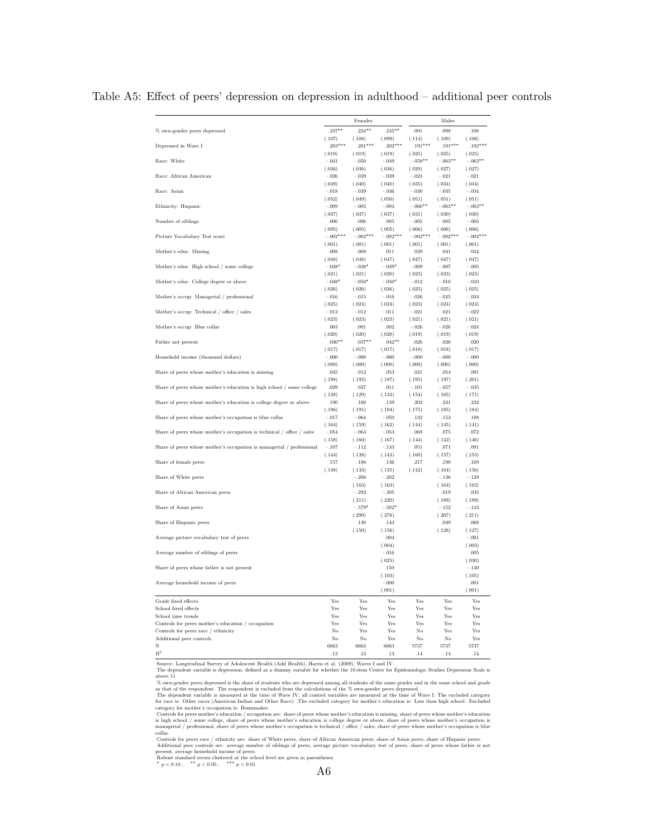<span id="page-32-0"></span>

|                                                                        |                     | Females             |                     |                     | Males               |                     |
|------------------------------------------------------------------------|---------------------|---------------------|---------------------|---------------------|---------------------|---------------------|
| % own-gender peers depressed                                           | $.237**$            | $.224**$            | $.235**$            | .091                | .098                | .106                |
| Depressed in Wave I                                                    | (.107)<br>$.203***$ | (.108)<br>$.201***$ | (.099)<br>$.202***$ | (.114)<br>$.191***$ | (.109)<br>$.191***$ | (.108)<br>$.192***$ |
|                                                                        | (.019)              | (.019)              | (.019)              | (.025)              | (.025)              | (.025)              |
| Race: White                                                            | $-.041$             | $-.050$             | $-.049$             | $-.058**$           | $-.063**$           | $-.063**$           |
|                                                                        | (.036)              | (.036)              | (.036)              | (.029)              | (.027)              | (.027)              |
| Race: African American                                                 | $-.026$<br>(.039)   | $-.039$<br>(.040)   | $-.039$<br>(.040)   | $-.023$<br>(.035)   | $-.021$<br>(.034)   | $-.021$<br>(.034)   |
| Race: Asian                                                            | $-.018$             | $-.039$             | $-.036$             | $-.030$             | $-.035$             | $-.034$             |
|                                                                        | (.052)              | (.049)              | (.050)              | (.051)              | (.051)              | (.051)              |
| Ethnicity: Hispanic                                                    | $-.009$             | $-.005$             | $-.004$             | $-.066**$           | $-.063**$           | $-.063**$           |
| Number of siblings                                                     | (.037)<br>.006      | (.037)<br>.006      | (.037)<br>.005      | (.031)<br>$-.005$   | (.030)<br>$-.005$   | (.030)<br>$-.005$   |
|                                                                        | (.005)              | (.005)              | (.005)              | (.006)              | (.006)              | (.006)              |
| Picture Vocabulary Test score                                          | $-.002***$          | $-.002***$          | $-.002***$          | $-.002***$          | $-.002***$          | $-.002***$          |
|                                                                        | (.001)              | (.001)              | (.001)              | (.001)              | (.001)              | (.001)              |
| Mother's educ: Missing                                                 | .008<br>(.048)      | .008<br>(.048)      | .011<br>(.047)      | .039<br>(.047)      | .041<br>(.047)      | .044<br>(.047)      |
| Mother's educ: High school / some college                              | $-.038*$            | $-.038*$            | $-.039*$            | $-.009$             | $-.007$             | $-.005$             |
|                                                                        | (.021)              | (.021)              | (.020)              | (.023)              | (.023)              | (.023)              |
| Mother's educ: College degree or above                                 | $-.048*$            | $-.050*$            | $-.050*$            | $-.012$             | $-.010$             | $-.010$             |
|                                                                        | (.026)              | (.026)              | (.026)              | (.025)              | (.025)              | (.025)              |
| Mother's occup: Managerial / professional                              | $-.016$<br>(.025)   | $-.015$<br>(.024)   | $-.016$<br>(.024)   | $-.026$<br>(.023)   | $-.025$<br>(.024)   | $-.024$<br>(.024)   |
| Mother's occup: Technical / office / sales                             | $-.012$             | $-.012$             | $-.011$             | $-.021$             | $-.021$             | $-.022$             |
|                                                                        | (.023)              | (.023)              | (.023)              | (.021)              | (.021)              | (.021)              |
| Mother's occup: Blue collar                                            | .003                | .001                | .002                | $-.026$             | $-.026$             | $-.024$             |
|                                                                        | (.020)<br>$.036**$  | (.020)<br>$.037**$  | (.020)<br>$.042**$  | (.019)<br>.026      | (.019)<br>.026      | (.019)<br>.020      |
| Father not present                                                     | (.017)              | (.017)              | (.017)              | (.018)              | (.018)              | (.017)              |
| Household income (thousand dollars)                                    | $-.000$             | $-.000$             | $-.000$             | $-.000$             | $-.000$             | $-.000$             |
|                                                                        | (.000)              | (.000)              | (.000)              | (.000)              | (.000)              | (.000)              |
| Share of peers whose mother's education is missing                     | .045                | .012                | .053                | .021                | .054                | .091                |
| Share of peers whose mother's education is high school / some college  | (.198)<br>.029      | (.192)<br>.027      | (.187)<br>.011      | (.195)<br>$-.101$   | (.197)<br>$-.057$   | (.201)<br>$-.035$   |
|                                                                        | (.128)              | (.129)              | (.133)              | (.154)              | (.165)              | (.171)              |
| Share of peers whose mother's education is college degree or above     | .190                | .160                | .139                | .202                | .241                | .232                |
|                                                                        | (.196)              | (.191)              | (.194)              | (.175)              | (.185)              | (.184)              |
| Share of peers whose mother's occupation is blue collar                | $-.017$<br>(.164)   | $-.064$<br>(.159)   | $-.050$<br>(.162)   | .132<br>(.144)      | .153<br>(.145)      | .188<br>(.141)      |
| Share of peers whose mother's occupation is technical / office / sales | $-.054$             | $-.063$             | $-.053$             | .068                | .075                | .072                |
|                                                                        | (.158)              | (.160)              | (.167)              | (.144)              | (.142)              | (.146)              |
| Share of peers whose mother's occupation is managerial / professional  | $-.107$             | $-.112$             | $-.133$             | $.051\,$            | .071                | .091                |
|                                                                        | (.144)<br>.157      | (.138)<br>.186      | (.143)<br>.136      | (.160)<br>.217      | (.157)<br>.190      | (.155)<br>.169      |
| Share of female peers                                                  | (.138)              | (.133)              | (.135)              | (.142)              | (.164)              | (.156)              |
| Share of White peers                                                   |                     | $-.206$             | $-.202$             |                     | $-.136$             | $-.129$             |
|                                                                        |                     | (.163)              | (.163)              |                     | (.164)              | (.162)              |
| Share of African American peers                                        |                     | $-.292$             | $-.305$             |                     | .019                | .035                |
| Share of Asian peers                                                   |                     | (.211)<br>$-.579*$  | (.220)<br>$-.502*$  |                     | (.189)<br>$-.152$   | (.189)<br>$-.143$   |
|                                                                        |                     | (.299)              | (.278)              |                     | (.207)              | (.211)              |
| Share of Hispanic peers                                                |                     | .130                | .143                |                     | .049                | .068                |
|                                                                        |                     | (.150)              | (.156)              |                     | (.128)              | (.127)              |
| Average picture vocabulary test of peers                               |                     |                     | .004                |                     |                     | $-.001$             |
| Average number of siblings of peers                                    |                     |                     | (.004)<br>$-.016$   |                     |                     | (.003)<br>.005      |
|                                                                        |                     |                     | (.025)              |                     |                     | (.030)              |
| Share of peers whose father is not present                             |                     |                     | .150                |                     |                     | $-.140$             |
|                                                                        |                     |                     | (.103)              |                     |                     | (.105)              |
| Average household income of peers                                      |                     |                     | $-.000$<br>(.001)   |                     |                     | .001<br>(.001)      |
| Grade fixed effects                                                    | Yes                 | Yes                 | Yes                 | Yes                 | Yes                 | Yes                 |
| School fixed effects                                                   | Yes                 | Yes                 | Yes                 | Yes                 | Yes                 | Yes                 |
| School time trends                                                     | Yes                 | <b>Yes</b>          | <b>Yes</b>          | Yes                 | Yes                 | Yes                 |
| Controls for peers mother's education / occupation                     | Yes<br>No           | Yes<br>Yes          | Yes<br>Yes          | Yes<br>No           | Yes<br>Yes          | Yes<br>Yes          |
| Controls for peers race / ethnicity<br>Additional peer controls        | No                  | No                  | Yes                 | No                  | No                  | Yes                 |
| N                                                                      | 6663                | 6663                | 6663                | 5737                | 5737                | 5737                |
| $\mathbb{R}^2$                                                         | .13                 | .13                 | .13                 | .14                 | .14                 | .14                 |

#### Table A5: Effect of peers' depression on depression in adulthood – additional peer controls

Source: Longitudinal Survey of Adolescent Health (Add Health), Harris et al. (2009), Waves I and IV.<br>The dependent variable is depression, defined as a dummy variable for whether the 10-item Center for Epidemiologic Studie

above 11.

 $\%$  own-gender peers depressed is the share of students who are depressed among all students of the same gender and in the same school and grade  $\%$  own-gender peers depressed.<br>The dependent variable is measured at the

collar. <br>  $\label{eq:1}$  collar for peers race / ethnicity are: share of White peers, share of African American peers, share of Asian peers, share of Hispanic peers. Controls for peers encorted are: average number of siblings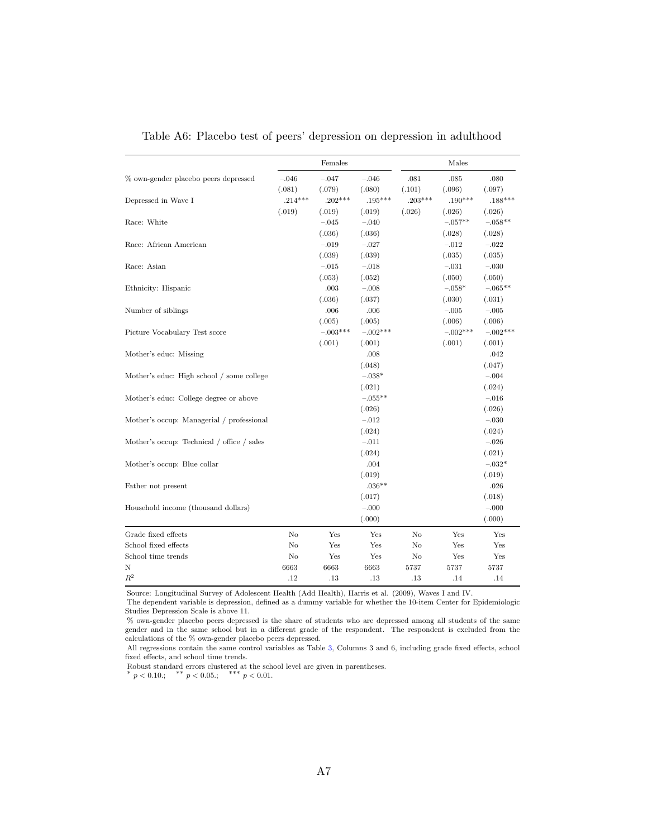<span id="page-33-0"></span>

|                                            |           | Females    |            |           | Males      |            |
|--------------------------------------------|-----------|------------|------------|-----------|------------|------------|
| % own-gender placebo peers depressed       | $-.046$   | $-.047$    | $-.046$    | .081      | .085       | .080       |
|                                            | (.081)    | (.079)     | (.080)     | (.101)    | (.096)     | (.097)     |
| Depressed in Wave I                        | $.214***$ | $.202***$  | $.195***$  | $.203***$ | $.190***$  | $.188***$  |
|                                            | (.019)    | (.019)     | (.019)     | (.026)    | (.026)     | (.026)     |
| Race: White                                |           | $-.045$    | $-.040$    |           | $-.057**$  | $-.058**$  |
|                                            |           | (.036)     | (.036)     |           | (.028)     | (.028)     |
| Race: African American                     |           | $-.019$    | $-.027$    |           | $-.012$    | $-.022$    |
|                                            |           | (.039)     | (.039)     |           | (.035)     | (.035)     |
| Race: Asian                                |           | $-.015$    | $-.018$    |           | $-.031$    | $-.030$    |
|                                            |           | (.053)     | (.052)     |           | (.050)     | (.050)     |
| Ethnicity: Hispanic                        |           | .003       | $-.008$    |           | $-0.058*$  | $-.065**$  |
|                                            |           | (.036)     | (.037)     |           | (.030)     | (.031)     |
| Number of siblings                         |           | .006       | .006       |           | $-.005$    | $-.005$    |
|                                            |           | (.005)     | (.005)     |           | (.006)     | (.006)     |
| Picture Vocabulary Test score              |           | $-.003***$ | $-.002***$ |           | $-.002***$ | $-.002***$ |
|                                            |           | (.001)     | (.001)     |           | (.001)     | (.001)     |
| Mother's educ: Missing                     |           |            | .008       |           |            | .042       |
|                                            |           |            | (.048)     |           |            | (.047)     |
| Mother's educ: High school / some college  |           |            | $-.038*$   |           |            | $-.004$    |
|                                            |           |            | (.021)     |           |            | (.024)     |
| Mother's educ: College degree or above     |           |            | $-.055**$  |           |            | $-.016$    |
|                                            |           |            | (.026)     |           |            | (.026)     |
| Mother's occup: Managerial / professional  |           |            | $-.012$    |           |            | $-.030$    |
|                                            |           |            | (.024)     |           |            | (.024)     |
| Mother's occup: Technical / office / sales |           |            | $-.011$    |           |            | $-.026$    |
|                                            |           |            | (.024)     |           |            | (.021)     |
| Mother's occup: Blue collar                |           |            | .004       |           |            | $-.032*$   |
|                                            |           |            | (.019)     |           |            | (.019)     |
| Father not present                         |           |            | $.036**$   |           |            | .026       |
|                                            |           |            | (.017)     |           |            | (.018)     |
| Household income (thousand dollars)        |           |            | $-.000$    |           |            | $-.000$    |
|                                            |           |            | (.000)     |           |            | (.000)     |
| Grade fixed effects                        | No        | Yes        | Yes        | No        | Yes        | Yes        |
| School fixed effects                       | $\rm No$  | Yes        | Yes        | No        | Yes        | Yes        |
| School time trends                         | No        | Yes        | Yes        | No        | Yes        | Yes        |
| Ν                                          | 6663      | 6663       | 6663       | 5737      | 5737       | 5737       |
| $R^2$                                      | .12       | .13        | .13        | .13       | .14        | .14        |

Table A6: Placebo test of peers' depression on depression in adulthood

Source: Longitudinal Survey of Adolescent Health (Add Health), Harris et al. (2009), Waves I and IV.

The dependent variable is depression, defined as a dummy variable for whether the 10-item Center for Epidemiologic Studies Depression Scale is above 11.

% own-gender placebo peers depressed is the share of students who are depressed among all students of the same gender and in the same school but in a different grade of the respondent. The respondent is excluded from the calculations of the  $\%$  own-gender placebo peers depressed.

All regressions contain the same control variables as Table [3,](#page-12-0) Columns 3 and 6, including grade fixed effects, school fixed effects, and school time trends.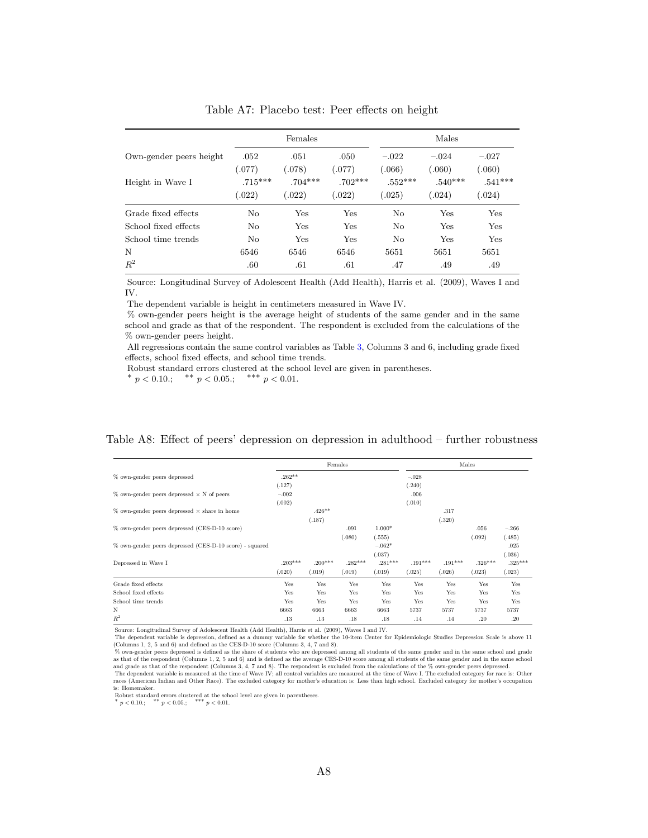<span id="page-34-1"></span>

|                         |                     | Females             |                     | Males               |                     |                     |  |  |
|-------------------------|---------------------|---------------------|---------------------|---------------------|---------------------|---------------------|--|--|
| Own-gender peers height | .052<br>(.077)      | .051<br>(.078)      | .050<br>(.077)      | $-.022$<br>(.066)   | $-.024$<br>(.060)   | $-.027$<br>(.060)   |  |  |
| Height in Wave I        | $.715***$<br>(.022) | $.704***$<br>(.022) | $.702***$<br>(.022) | $.552***$<br>(.025) | $.540***$<br>(.024) | $.541***$<br>(.024) |  |  |
| Grade fixed effects     | No                  | Yes                 | Yes                 | No                  | Yes                 | Yes                 |  |  |
| School fixed effects    | No                  | Yes                 | Yes                 | No                  | Yes                 | Yes                 |  |  |
| School time trends      | No                  | Yes                 | Yes                 | N <sub>0</sub>      | Yes                 | Yes                 |  |  |
| N                       | 6546                | 6546                | 6546                | 5651                | 5651                | 5651                |  |  |
| $R^2$                   | .60                 | .61                 | .61                 | .47                 | .49                 | .49                 |  |  |

Table A7: Placebo test: Peer effects on height

Source: Longitudinal Survey of Adolescent Health (Add Health), Harris et al. (2009), Waves I and IV.

The dependent variable is height in centimeters measured in Wave IV.

% own-gender peers height is the average height of students of the same gender and in the same school and grade as that of the respondent. The respondent is excluded from the calculations of the % own-gender peers height.

All regressions contain the same control variables as Table [3,](#page-12-0) Columns 3 and 6, including grade fixed effects, school fixed effects, and school time trends.

Robust standard errors clustered at the school level are given in parentheses. \*  $p < 0.10$ .; \*\*  $p < 0.05$ .; \*\*\*  $p < 0.01$ .

|  |  |  | Table A8: Effect of peers' depression on depression in adulthood – further robustness |  |  |  |  |  |
|--|--|--|---------------------------------------------------------------------------------------|--|--|--|--|--|
|--|--|--|---------------------------------------------------------------------------------------|--|--|--|--|--|

<span id="page-34-0"></span>

|                                                         |           |           | Females   |           |           |           | Males     |           |
|---------------------------------------------------------|-----------|-----------|-----------|-----------|-----------|-----------|-----------|-----------|
| % own-gender peers depressed                            | $.262**$  |           |           |           | $-.028$   |           |           |           |
|                                                         | (.127)    |           |           |           | (.240)    |           |           |           |
| $\%$ own-gender peers depressed $\times$ N of peers     | $-.002$   |           |           |           | .006      |           |           |           |
|                                                         | (.002)    |           |           |           | (.010)    |           |           |           |
| $\%$ own-gender peers depressed $\times$ share in home  |           | $.426**$  |           |           |           | .317      |           |           |
|                                                         |           | (.187)    |           |           |           | (.320)    |           |           |
| % own-gender peers depressed (CES-D-10 score)           |           |           | .091      | $1.000*$  |           |           | .056      | $-.266$   |
|                                                         |           |           | (.080)    | (.555)    |           |           | .092)     | (.485)    |
| % own-gender peers depressed (CES-D-10 score) - squared |           |           |           | $-.062*$  |           |           |           | .025      |
|                                                         |           |           |           | (.037)    |           |           |           | (.036)    |
| Depressed in Wave I                                     | $.203***$ | $.200***$ | $.282***$ | $.281***$ | $.191***$ | $.191***$ | $.326***$ | $.325***$ |
|                                                         | (.020)    | (.019)    | (.019)    | (.019)    | (.025)    | (.026)    | (.023)    | (.023)    |
| Grade fixed effects                                     | Yes       | Yes       | Yes       | Yes       | Yes       | Yes       | Yes       | Yes       |
| School fixed effects                                    | Yes       | Yes       | Yes       | Yes       | Yes       | Yes       | Yes       | Yes       |
| School time trends                                      | Yes       | Yes       | Yes       | Yes       | Yes       | Yes       | Yes       | Yes       |
| N                                                       | 6663      | 6663      | 6663      | 6663      | 5737      | 5737      | 5737      | 5737      |
| $R^2$                                                   | .13       | .13       | .18       | .18       | .14       | .14       | .20       | .20       |

Source: Longitudinal Survey of Adolescent Health (Add Health), Harris et al. (2009), Waves I and IV.<br>The dependent variable is depression, defined as a dummy variable for whether the 10-item Center for Epidemiologic Studie

(Columns 1, 2, 5 and 6) and defined as the CES-D-10 score (Columns 3, 4, 7 and 8).<br>
We own-gender peers depressed is defined as the CES-D-10 score (Columns 3, 4, 7 and 8).<br>
as that of the respondent (Columns 1, 2, 5 and 6)  $\omega$  and grade as that of the respondent (Columns 3, 4, 7 and 8). The respondent is excluded from the calculations of the  $\%$  own-gender peers depressed.<br>The dependent variable is measured at the time of Wave IV; all con

races (American Indian and Other Race). The excluded category for mother's education is: Less than high school. Excluded category for mother's occupation is: Homemaker.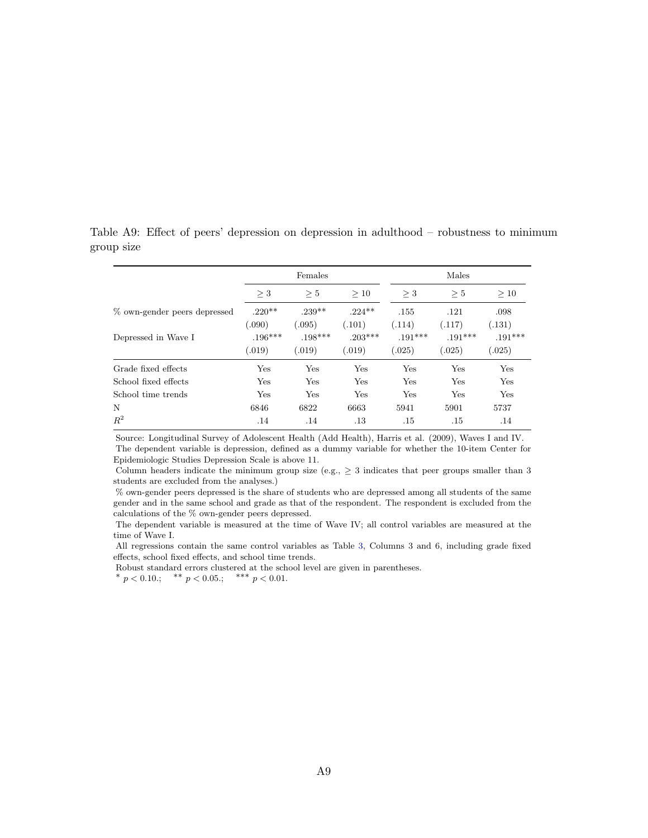<span id="page-35-0"></span>

|                              |                     | Females             |                      |                     | Males               |                    |
|------------------------------|---------------------|---------------------|----------------------|---------------------|---------------------|--------------------|
|                              | $\geq 3$            | > 5                 | >10                  | $>$ 3               | > 5                 | >10                |
| % own-gender peers depressed | $.220**$<br>(.090)  | $.239**$<br>(.095)  | $.224**$<br>(0.101)  | .155<br>(.114)      | .121<br>(.117)      | .098<br>(.131)     |
| Depressed in Wave I          | $.196***$<br>(.019) | $.198***$<br>(.019) | $.203***$<br>(0.019) | $.191***$<br>(.025) | $.191***$<br>(.025) | $.191***$<br>.025) |
| Grade fixed effects          | Yes                 | Yes                 | Yes                  | Yes                 | Yes                 | Yes                |
| School fixed effects         | Yes                 | Yes                 | Yes                  | Yes                 | Yes                 | Yes                |
| School time trends           | Yes                 | Yes                 | Yes                  | Yes                 | Yes                 | Yes                |
| N                            | 6846                | 6822                | 6663                 | 5941                | 5901                | 5737               |
| $R^2$                        | .14                 | .14                 | $.13\,$              | .15                 | .15                 | .14                |

Table A9: Effect of peers' depression on depression in adulthood – robustness to minimum group size

Source: Longitudinal Survey of Adolescent Health (Add Health), Harris et al. (2009), Waves I and IV. The dependent variable is depression, defined as a dummy variable for whether the 10-item Center for Epidemiologic Studies Depression Scale is above 11.

Column headers indicate the minimum group size (e.g.,  $\geq$  3 indicates that peer groups smaller than 3 students are excluded from the analyses.)

% own-gender peers depressed is the share of students who are depressed among all students of the same gender and in the same school and grade as that of the respondent. The respondent is excluded from the calculations of the % own-gender peers depressed.

The dependent variable is measured at the time of Wave IV; all control variables are measured at the time of Wave I.

All regressions contain the same control variables as Table [3,](#page-12-0) Columns 3 and 6, including grade fixed effects, school fixed effects, and school time trends.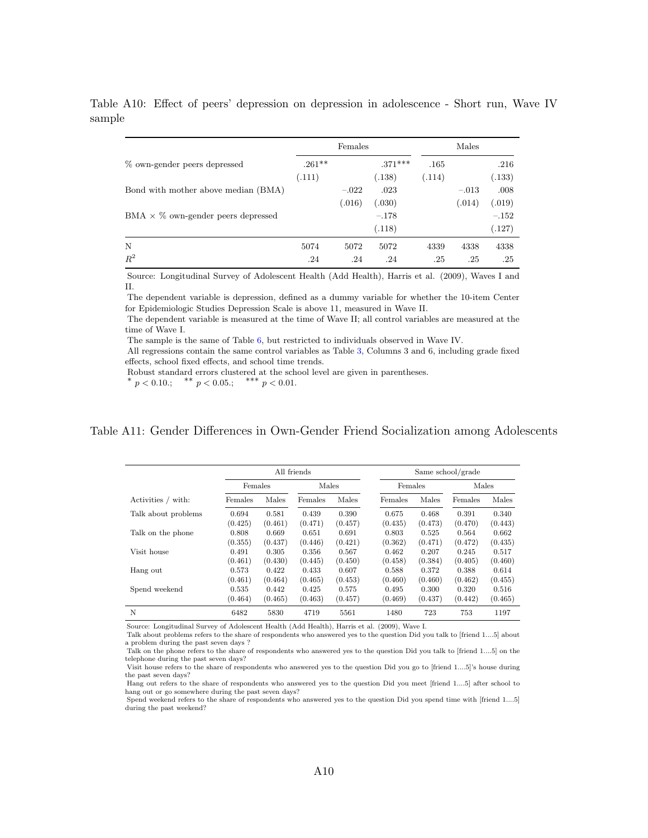<span id="page-36-0"></span>Females Males % own-gender peers depressed  $.261**$  .371\*\*\*  $.165$  .216  $(.111)$   $(.138)$   $(.114)$   $(.133)$ Bond with mother above median  $(BMA)$   $-0.022$   $0.023$   $-0.013$   $0.008$  $(.016)$   $(.030)$   $(.014)$   $(.019)$ BMA  $\times$  % own-gender peers depressed  $-.178$  –.152  $(.118)$   $(.127)$ N 5074 5072 5072 4339 4338 4338  $R^2$ .24 .24 .24 .25 .25 .25

Table A10: Effect of peers' depression on depression in adolescence - Short run, Wave IV sample

Source: Longitudinal Survey of Adolescent Health (Add Health), Harris et al. (2009), Waves I and II.

The dependent variable is depression, defined as a dummy variable for whether the 10-item Center for Epidemiologic Studies Depression Scale is above 11, measured in Wave II.

The dependent variable is measured at the time of Wave II; all control variables are measured at the time of Wave I.

The sample is the same of Table [6,](#page-18-0) but restricted to individuals observed in Wave IV.

All regressions contain the same control variables as Table [3,](#page-12-0) Columns 3 and 6, including grade fixed effects, school fixed effects, and school time trends.

Robust standard errors clustered at the school level are given in parentheses.

∗ p < 0.10.; \*\*  $p < 0.05$ .; \*\*\*  $p < 0.01$ .

### <span id="page-36-1"></span>Table A11: Gender Differences in Own-Gender Friend Socialization among Adolescents

|                     |         |         | All friends |         | Same school/grade |         |         |         |  |  |
|---------------------|---------|---------|-------------|---------|-------------------|---------|---------|---------|--|--|
|                     | Females |         | Males       |         | Females           |         | Males   |         |  |  |
| Activities / with:  | Females | Males   | Females     | Males   | Females           | Males   | Females | Males   |  |  |
| Talk about problems | 0.694   | 0.581   | 0.439       | 0.390   | 0.675             | 0.468   | 0.391   | 0.340   |  |  |
|                     | (0.425) | (0.461) | (0.471)     | (0.457) | (0.435)           | (0.473) | (0.470) | (0.443) |  |  |
| Talk on the phone   | 0.808   | 0.669   | 0.651       | 0.691   | 0.803             | 0.525   | 0.564   | 0.662   |  |  |
|                     | (0.355) | (0.437) | (0.446)     | (0.421) | (0.362)           | (0.471) | (0.472) | (0.435) |  |  |
| Visit house         | 0.491   | 0.305   | 0.356       | 0.567   | 0.462             | 0.207   | 0.245   | 0.517   |  |  |
|                     | (0.461) | (0.430) | (0.445)     | (0.450) | (0.458)           | (0.384) | (0.405) | (0.460) |  |  |
| Hang out            | 0.573   | 0.422   | 0.433       | 0.607   | 0.588             | 0.372   | 0.388   | 0.614   |  |  |
|                     | (0.461) | (0.464) | (0.465)     | (0.453) | (0.460)           | (0.460) | (0.462) | (0.455) |  |  |
| Spend weekend       | 0.535   | 0.442   | 0.425       | 0.575   | 0.495             | 0.300   | 0.320   | 0.516   |  |  |
|                     | (0.464) | (0.465) | (0.463)     | (0.457) | (0.469)           | (0.437) | (0.442) | (0.465) |  |  |
| N                   | 6482    | 5830    | 4719        | 5561    | 1480              | 723     | 753     | 1197    |  |  |

Source: Longitudinal Survey of Adolescent Health (Add Health), Harris et al. (2009), Wave I. Talk about problems refers to the share of respondents who answered yes to the question Did you talk to [friend 1....5] about

a problem during the past seven days ? Talk on the phone refers to the share of respondents who answered yes to the question Did you talk to [friend 1....5] on the telephone during the past seven days?

Hang out refers to the share of respondents who answered yes to the question Did you meet [friend 1....5] after school to hang out or go somewhere during the past seven days?

Spend weekend refers to the share of respondents who answered yes to the question Did you spend time with [friend 1....5] during the past weekend?

Visit house refers to the share of respondents who answered yes to the question Did you go to [friend 1....5]'s house during the past seven days?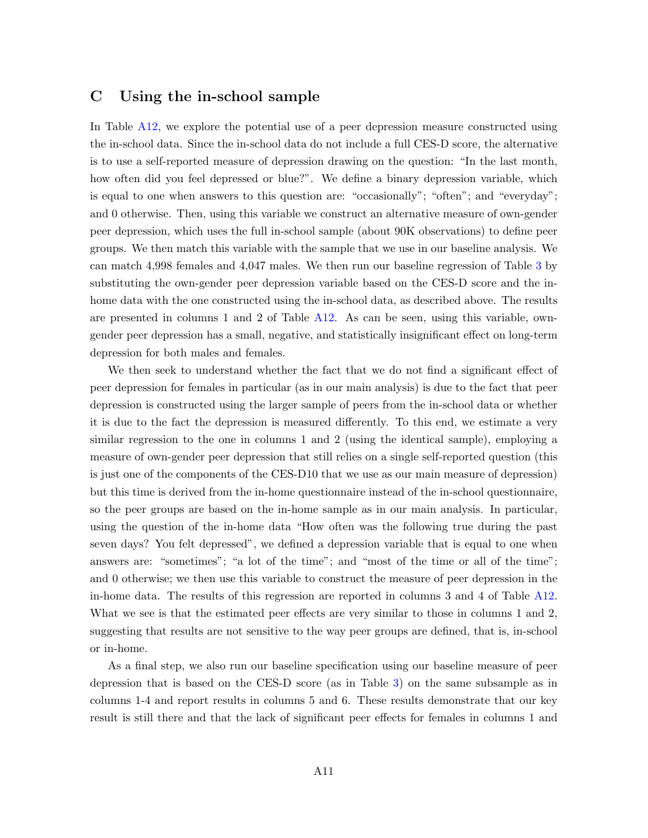## <span id="page-37-0"></span>C Using the in-school sample

In Table [A12,](#page-38-0) we explore the potential use of a peer depression measure constructed using the in-school data. Since the in-school data do not include a full CES-D score, the alternative is to use a self-reported measure of depression drawing on the question: "In the last month, how often did you feel depressed or blue?". We define a binary depression variable, which is equal to one when answers to this question are: "occasionally"; "often"; and "everyday"; and 0 otherwise. Then, using this variable we construct an alternative measure of own-gender peer depression, which uses the full in-school sample (about 90K observations) to define peer groups. We then match this variable with the sample that we use in our baseline analysis. We can match 4,998 females and 4,047 males. We then run our baseline regression of Table [3](#page-12-0) by substituting the own-gender peer depression variable based on the CES-D score and the inhome data with the one constructed using the in-school data, as described above. The results are presented in columns 1 and 2 of Table [A12.](#page-38-0) As can be seen, using this variable, owngender peer depression has a small, negative, and statistically insignificant effect on long-term depression for both males and females.

We then seek to understand whether the fact that we do not find a significant effect of peer depression for females in particular (as in our main analysis) is due to the fact that peer depression is constructed using the larger sample of peers from the in-school data or whether it is due to the fact the depression is measured differently. To this end, we estimate a very similar regression to the one in columns 1 and 2 (using the identical sample), employing a measure of own-gender peer depression that still relies on a single self-reported question (this is just one of the components of the CES-D10 that we use as our main measure of depression) but this time is derived from the in-home questionnaire instead of the in-school questionnaire, so the peer groups are based on the in-home sample as in our main analysis. In particular, using the question of the in-home data "How often was the following true during the past seven days? You felt depressed", we defined a depression variable that is equal to one when answers are: "sometimes"; "a lot of the time"; and "most of the time or all of the time"; and 0 otherwise; we then use this variable to construct the measure of peer depression in the in-home data. The results of this regression are reported in columns 3 and 4 of Table [A12.](#page-38-0) What we see is that the estimated peer effects are very similar to those in columns 1 and 2, suggesting that results are not sensitive to the way peer groups are defined, that is, in-school or in-home.

As a final step, we also run our baseline specification using our baseline measure of peer depression that is based on the CES-D score (as in Table [3\)](#page-12-0) on the same subsample as in columns 1-4 and report results in columns 5 and 6. These results demonstrate that our key result is still there and that the lack of significant peer effects for females in columns 1 and